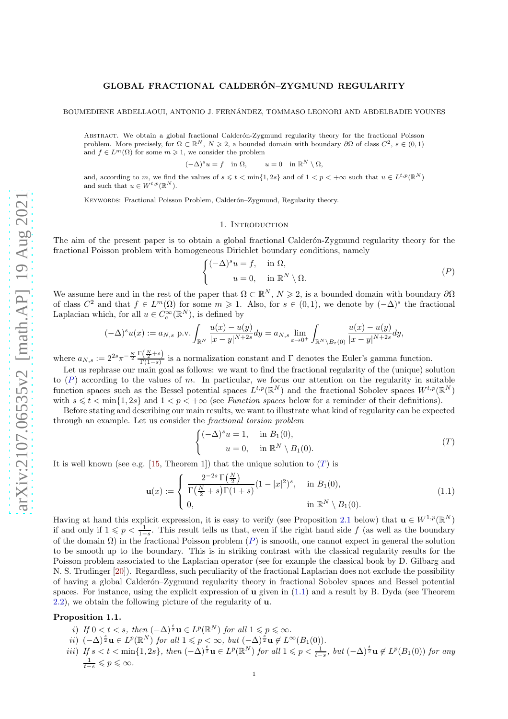## GLOBAL FRACTIONAL CALDERÓN-ZYGMUND REGULARITY

BOUMEDIENE ABDELLAOUI, ANTONIO J. FERNANDEZ, TOMMASO LEONORI AND ABDELBADIE YOUNES ´

ABSTRACT. We obtain a global fractional Calderón-Zygmund regularity theory for the fractional Poisson problem. More precisely, for  $\Omega \subset \mathbb{R}^N$ ,  $N \geq 2$ , a bounded domain with boundary  $\partial \Omega$  of class  $C^2$ ,  $s \in (0,1)$ and  $f \in L^m(\Omega)$  for some  $m \geq 1$ , we consider the problem

> $(-\Delta)^s u = f$  in  $\Omega$ ,  $u = 0$  in  $\mathbb{R}^N \setminus \Omega$ ,

and, according to m, we find the values of  $s \leq t < \min\{1, 2s\}$  and of  $1 < p < +\infty$  such that  $u \in L^{t,p}(\mathbb{R}^N)$ and such that  $u \in W^{t,p}(\mathbb{R}^N)$ .

KEYWORDS: Fractional Poisson Problem, Calderón-Zygmund, Regularity theory.

### <span id="page-0-0"></span>1. INTRODUCTION

The aim of the present paper is to obtain a global fractional Calderón-Zygmund regularity theory for the fractional Poisson problem with homogeneous Dirichlet boundary conditions, namely

$$
\begin{cases}\n(-\Delta)^s u = f, & \text{in } \Omega, \\
u = 0, & \text{in } \mathbb{R}^N \setminus \Omega.\n\end{cases}
$$
\n
$$
(P)
$$

We assume here and in the rest of the paper that  $\Omega \subset \mathbb{R}^N$ ,  $N \geq 2$ , is a bounded domain with boundary  $\partial \Omega$ of class  $C^2$  and that  $f \in L^m(\Omega)$  for some  $m \geq 1$ . Also, for  $s \in (0,1)$ , we denote by  $(-\Delta)^s$  the fractional Laplacian which, for all  $u \in C_c^{\infty}(\mathbb{R}^N)$ , is defined by

$$
(-\Delta)^s u(x) := a_{N,s} \text{ p.v.} \int_{\mathbb{R}^N} \frac{u(x) - u(y)}{|x - y|^{N+2s}} dy = a_{N,s} \lim_{\varepsilon \to 0^+} \int_{\mathbb{R}^N \setminus B_{\varepsilon}(0)} \frac{u(x) - u(y)}{|x - y|^{N+2s}} dy,
$$

where  $a_{N,s} := 2^{2s} \pi^{-\frac{N}{2}} \frac{\Gamma(\frac{N}{2}+s)}{\Gamma(1-s)}$  is a normalization constant and  $\Gamma$  denotes the Euler's gamma function.

Let us rephrase our main goal as follows: we want to find the fractional regularity of the (unique) solution to  $(P)$  $(P)$  $(P)$  according to the values of m. In particular, we focus our attention on the regularity in suitable function spaces such as the Bessel potential spaces  $L^{t,p}(\mathbb{R}^N)$  and the fractional Sobolev spaces  $W^{t,p}(\mathbb{R}^N)$ with  $s \leq t < \min\{1, 2s\}$  and  $1 < p < +\infty$  (see *Function spaces* below for a reminder of their definitions).

Before stating and describing our main results, we want to illustrate what kind of regularity can be expected through an example. Let us consider the *fractional torsion problem*

<span id="page-0-1"></span>
$$
\begin{cases}\n(-\Delta)^s u = 1, & \text{in } B_1(0), \\
u = 0, & \text{in } \mathbb{R}^N \setminus B_1(0).\n\end{cases}
$$
\n
$$
(T)
$$

It is well known (see e.g. [\[15,](#page-21-0) [T](#page-0-1)heorem 1]) that the unique solution to  $(T)$  is

<span id="page-0-2"></span>
$$
\mathbf{u}(x) := \begin{cases} \frac{2^{-2s} \Gamma(\frac{N}{2})}{\Gamma(\frac{N}{2} + s) \Gamma(1 + s)} (1 - |x|^2)^s, & \text{in } B_1(0), \\ 0, & \text{in } \mathbb{R}^N \setminus B_1(0). \end{cases}
$$
(1.1)

Having at hand this explicit expression, it is easy to verify (see Proposition [2.1](#page-5-0) below) that  $\mathbf{u} \in W^{1,p}(\mathbb{R}^N)$ if and only if  $1 \leqslant p < \frac{1}{1-s}$ . This result tells us that, even if the right hand side f (as well as the boundary of the domain  $\Omega$ ) in the fractional [P](#page-0-0)oisson problem (P) is smooth, one cannot expect in general the solution to be smooth up to the boundary. This is in striking contrast with the classical regularity results for the Poisson problem associated to the Laplacian operator (see for example the classical book by D. Gilbarg and N. S. Trudinger [\[20\]](#page-21-1)). Regardless, such peculiarity of the fractional Laplacian does not exclude the possibility of having a global Calder´on–Zygmund regularity theory in fractional Sobolev spaces and Bessel potential spaces. For instance, using the explicit expression of  $\bf{u}$  given in [\(1.1\)](#page-0-2) and a result by B. Dyda (see Theorem [2.2\)](#page-5-1), we obtain the following picture of the regularity of u.

#### <span id="page-0-3"></span>Proposition 1.1.

- i) *If*  $0 < t < s$ , then  $(-\Delta)^{\frac{t}{2}}\mathbf{u} \in L^p(\mathbb{R}^N)$  for all  $1 \leqslant p \leqslant \infty$ .
- *ii*)  $(-\Delta)^{\frac{s}{2}}$ **u** ∈  $L^p(\mathbb{R}^N)$  *for all*  $1 \leq p < \infty$ *, but*  $(-\Delta)^{\frac{s}{2}}$ **u** ∉  $L^{\infty}(B_1(0))$ *.*
- $\text{if } s < t < \min\{1, 2s\}, \text{ then } (-\Delta)^{\frac{t}{2}}\mathbf{u} \in L^p(\mathbb{R}^N) \text{ for all } 1 \leqslant p < \frac{1}{t-s}, \text{ but } (-\Delta)^{\frac{t}{2}}\mathbf{u} \notin L^p(B_1(0)) \text{ for any } 1 \leqslant p \leqslant 1$  $\frac{1}{t-s} \leqslant p \leqslant \infty$ *.*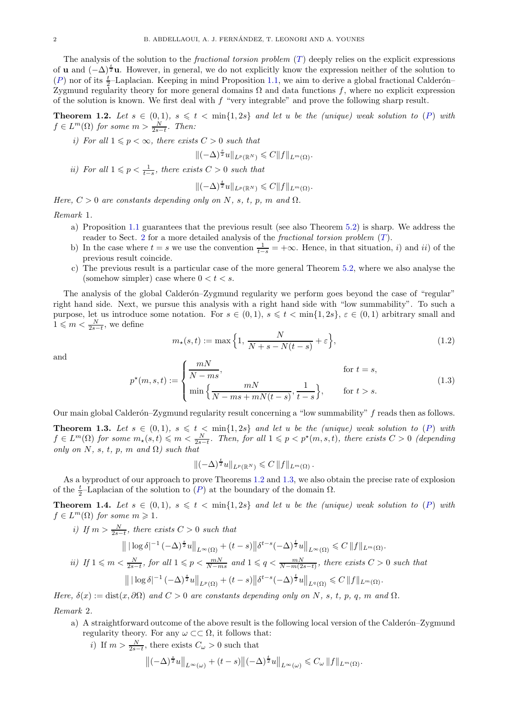The analysis of the solution to the *fractional torsion problem* ([T](#page-0-1)) deeply relies on the explicit expressions of **u** and  $(-\Delta)^{\frac{t}{2}}$ **u**. However, in general, we do not explicitly know the expression neither of the solution to ([P](#page-0-0)) nor of its  $\frac{t}{2}$ -Laplacian. Keeping in mind Proposition [1.1,](#page-0-3) we aim to derive a global fractional Calderón– Zygmund regularity theory for more general domains  $Ω$  and data functions  $f$ , where no explicit expression of the solution is known. We first deal with  $f$  "very integrable" and prove the following sharp result.

<span id="page-1-0"></span>**Theorem 1.2.** Let  $s \in (0,1)$ ,  $s \leq t < \min\{1,2s\}$  and let u be the (unique) weak solution to ([P](#page-0-0)) with  $f \in L^m(\Omega)$  for some  $m > \frac{N}{2s-t}$ . Then:

*i)* For all  $1 \leqslant p < \infty$ , there exists  $C > 0$  such that

$$
\|(-\Delta)^{\frac{s}{2}}u\|_{L^p(\mathbb{R}^N)}\leqslant C\|f\|_{L^m(\Omega)}.
$$

*ii)* For all  $1 \leq p < \frac{1}{t-s}$ , there exists  $C > 0$  such that

$$
\|(-\Delta)^{\frac{t}{2}}u\|_{L^p(\mathbb{R}^N)} \leqslant C\|f\|_{L^m(\Omega)}.
$$

*Here,*  $C > 0$  *are constants depending only on* N, s, t, p, m and  $\Omega$ .

*Remark* 1*.*

- a) Proposition [1.1](#page-0-3) guarantees that the previous result (see also Theorem [5.2\)](#page-16-0) is sharp. We address the reader to Sect. [2](#page-5-2) for a more detailed analysis of the *fractional torsion problem* ([T](#page-0-1)).
- b) In the case where  $t = s$  we use the convention  $\frac{1}{t-s} = +\infty$ . Hence, in that situation, i) and ii) of the previous result coincide.
- c) The previous result is a particular case of the more general Theorem [5.2,](#page-16-0) where we also analyse the (somehow simpler) case where  $0 < t < s$ .

The analysis of the global Calderón–Zygmund regularity we perform goes beyond the case of "regular" right hand side. Next, we pursue this analysis with a right hand side with "low summability". To such a purpose, let us introduce some notation. For  $s \in (0,1)$ ,  $s \leq t < \min\{1,2s\}$ ,  $\varepsilon \in (0,1)$  arbitrary small and  $1 \leqslant m < \frac{N}{2s-t}$ , we define

$$
m_{\star}(s,t) := \max\Big\{1, \frac{N}{N+s-N(t-s)} + \varepsilon\Big\},\tag{1.2}
$$

and

$$
p^*(m, s, t) := \begin{cases} \frac{mN}{N - ms}, & \text{for } t = s, \\ \min\left\{\frac{mN}{N - ms + mN(t - s)}, \frac{1}{t - s}\right\}, & \text{for } t > s. \end{cases}
$$
(1.3)

Our main global Calderón–Zygmund regularity result concerning a "low summability" f reads then as follows.

<span id="page-1-1"></span>**Theorem 1.3.** Let  $s \in (0,1)$ ,  $s \leq t < \min\{1,2s\}$  and let u be the (unique) weak solution to ([P](#page-0-0)) with  $f \in L^m(\Omega)$  for some  $m_\star(s,t) \leqslant m < \frac{N}{2s-t}$ . Then, for all  $1 \leqslant p < p^\star(m,s,t)$ , there exists  $C > 0$  (depending *only on*  $N$ *, s, t, p, m and*  $\Omega$ *) such that* 

$$
\|(-\Delta)^{\frac{t}{2}}u\|_{L^p(\mathbb{R}^N)}\leqslant C\,\|f\|_{L^m(\Omega)}\,.
$$

As a byproduct of our approach to prove Theorems [1.2](#page-1-0) and [1.3,](#page-1-1) we also obtain the precise rate of explosion of the  $\frac{t}{2}$ -Laplacian of the solution to  $(P)$  $(P)$  $(P)$  at the boundary of the domain  $\Omega$ .

<span id="page-1-2"></span>**Theorem 1.4.** Let  $s \in (0,1)$ ,  $s \leq t < \min\{1,2s\}$  and let u be the (unique) weak solution to ([P](#page-0-0)) with  $f \in L^m(\Omega)$  *for some*  $m \geq 1$ *.* 

*i)* If 
$$
m > \frac{N}{2s-t}
$$
, there exists  $C > 0$  such that  
\n
$$
\| |\log \delta|^{-1} (-\Delta)^{\frac{s}{2}} u \|_{L^{\infty}(\Omega)} + (t-s) \| \delta^{t-s} (-\Delta)^{\frac{t}{2}} u \|_{L^{\infty}(\Omega)} \leq C \|f\|_{L^m(\Omega)}.
$$
\n*ii)* If  $1 \leq m < \frac{N}{2s-t}$ , for all  $1 \leq p < \frac{mN}{N-ms}$  and  $1 \leq q < \frac{mN}{N-m(2s-t)}$ , there exists  $C > 0$  such that  
\n
$$
\| |\log \delta|^{-1} (-\Delta)^{\frac{s}{2}} u \|_{L^p(\Omega)} + (t-s) \| \delta^{t-s} (-\Delta)^{\frac{t}{2}} u \|_{L^q(\Omega)} \leq C \|f\|_{L^m(\Omega)}.
$$

*Here,*  $\delta(x) := \text{dist}(x, \partial \Omega)$  *and*  $C > 0$  *are constants depending only on* N, s, t, p, q, m and  $\Omega$ .

*Remark* 2*.*

- a) A straightforward outcome of the above result is the following local version of the Calderon–Zygmund regularity theory. For any  $\omega \subset\subset \Omega$ , it follows that:
	- *i*) If  $m > \frac{N}{2s-t}$ , there exists  $C_{\omega} > 0$  such that

$$
\left\|(-\Delta)^{\frac{s}{2}}u\right\|_{L^{\infty}(\omega)}+(t-s)\left\|(-\Delta)^{\frac{t}{2}}u\right\|_{L^{\infty}(\omega)}\leqslant C_{\omega}\left\|f\right\|_{L^{m}(\Omega)}.
$$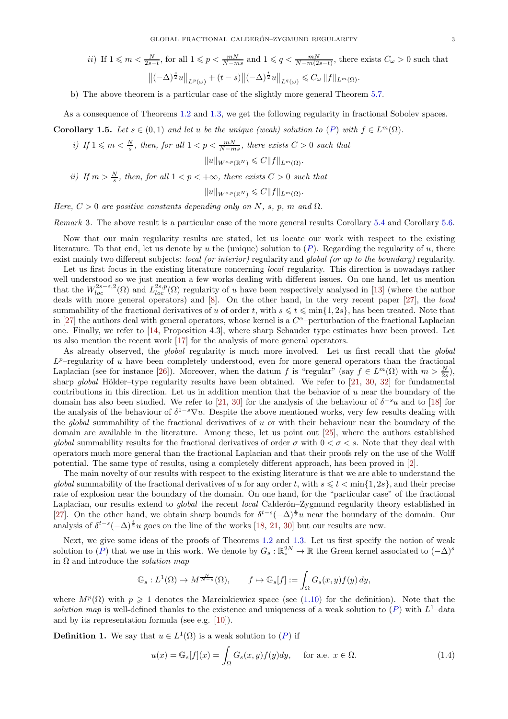$$
ii) \text{ If } 1 \leqslant m < \frac{N}{2s-t}, \text{ for all } 1 \leqslant p < \frac{mN}{N-ms} \text{ and } 1 \leqslant q < \frac{mN}{N-m(2s-t)}, \text{ there exists } C_{\omega} > 0 \text{ such that}
$$
\n
$$
\left\| \left( -\Delta \right)^{\frac{s}{2}} u \right\|_{L^p(\omega)} + (t-s) \left\| \left( -\Delta \right)^{\frac{t}{2}} u \right\|_{L^q(\omega)} \leqslant C_{\omega} \left\| f \right\|_{L^m(\Omega)}.
$$

b) The above theorem is a particular case of the slightly more general Theorem [5.7.](#page-19-0)

As a consequence of Theorems [1.2](#page-1-0) and [1.3,](#page-1-1) we get the following regularity in fractional Sobolev spaces.

<span id="page-2-1"></span>Corollary 1.5. Let  $s \in (0,1)$  and let u be the unique (weak) solution to  $(P)$  $(P)$  $(P)$  with  $f \in L^m(\Omega)$ .

*i)* If  $1 \le m \le \frac{N}{s}$ , then, for all  $1 < p \le \frac{mN}{N-ms}$ , there exists  $C > 0$  such that

$$
||u||_{W^{s,p}(\mathbb{R}^N)} \leqslant C||f||_{L^m(\Omega)}.
$$

*ii)* If  $m > \frac{N}{s}$ , then, for all  $1 < p < +\infty$ , there exists  $C > 0$  such that

$$
||u||_{W^{s,p}(\mathbb{R}^N)} \leqslant C||f||_{L^m(\Omega)}.
$$

*Here,*  $C > 0$  *are positive constants depending only on* N, s, p, m and  $\Omega$ .

*Remark* 3*.* The above result is a particular case of the more general results Corollary [5.4](#page-17-0) and Corollary [5.6.](#page-19-1)

Now that our main regularity results are stated, let us locate our work with respect to the existing literature. To that end, let us denote by u the (unique) solution to  $(P)$  $(P)$  $(P)$ . Regarding the regularity of u, there exist mainly two different subjects: *local (or interior)* regularity and *global (or up to the boundary)* regularity.

Let us first focus in the existing literature concerning *local* regularity. This direction is nowadays rather well understood so we just mention a few works dealing with different issues. On one hand, let us mention that the  $W_{loc}^{2s-\varepsilon,2}(\Omega)$  and  $L_{loc}^{2s,p}(\Omega)$  regularity of u have been respectively analysed in [\[13\]](#page-21-2) (where the author deals with more general operators) and [\[8\]](#page-20-0). On the other hand, in the very recent paper [\[27\]](#page-21-3), the *local* summability of the fractional derivatives of u of order t, with  $s \leq t \leq \min\{1, 2s\}$ , has been treated. Note that in [\[27\]](#page-21-3) the authors deal with general operators, whose kernel is a  $C^{\alpha}$ -perturbation of the fractional Laplacian one. Finally, we refer to [\[14,](#page-21-4) Proposition 4.3], where sharp Schauder type estimates have been proved. Let us also mention the recent work [\[17\]](#page-21-5) for the analysis of more general operators.

As already observed, the *global* regularity is much more involved. Let us first recall that the *global*  $L^p$ -regularity of u have been completely understood, even for more general operators than the fractional Laplacian (see for instance [\[26\]](#page-21-6)). Moreover, when the datum f is "regular" (say  $f \in L^m(\Omega)$  with  $m > \frac{N}{2s}$ ), sharp *global* Hölder–type regularity results have been obtained. We refer to [\[21,](#page-21-7) [30,](#page-21-8) [32\]](#page-21-9) for fundamental contributions in this direction. Let us in addition mention that the behavior of u near the boundary of the domain has also been studied. We refer to [\[21,](#page-21-7) [30\]](#page-21-8) for the analysis of the behaviour of  $\delta^{-s}u$  and to [\[18\]](#page-21-10) for the analysis of the behaviour of  $\delta^{1-s}\nabla u$ . Despite the above mentioned works, very few results dealing with the *global* summability of the fractional derivatives of u or with their behaviour near the boundary of the domain are available in the literature. Among these, let us point out [\[25\]](#page-21-11), where the authors established *global* summability results for the fractional derivatives of order  $\sigma$  with  $0 < \sigma < s$ . Note that they deal with operators much more general than the fractional Laplacian and that their proofs rely on the use of the Wolff potential. The same type of results, using a completely different approach, has been proved in [\[2\]](#page-20-1).

The main novelty of our results with respect to the existing literature is that we are able to understand the *global* summability of the fractional derivatives of u for any order t, with  $s \leq t < \min\{1, 2s\}$ , and their precise rate of explosion near the boundary of the domain. On one hand, for the "particular case" of the fractional Laplacian, our results extend to *global* the recent *local* Calderon–Zygmund regularity theory established in [\[27\]](#page-21-3). On the other hand, we obtain sharp bounds for  $\delta^{t-s}(-\Delta)^{\frac{t}{2}}u$  near the boundary of the domain. Our analysis of  $\delta^{t-s}(-\Delta)^{\frac{t}{2}}u$  goes on the line of the works [\[18,](#page-21-10) [21,](#page-21-7) [30\]](#page-21-8) but our results are new.

Next, we give some ideas of the proofs of Theorems [1.2](#page-1-0) and [1.3.](#page-1-1) Let us first specify the notion of weak solution to  $(P)$  $(P)$  $(P)$  that we use in this work. We denote by  $G_s : \mathbb{R}^{2N}_* \to \mathbb{R}$  the Green kernel associated to  $(-\Delta)^s$ in Ω and introduce the *solution map*

$$
\mathbb{G}_s: L^1(\Omega) \to M^{\frac{N}{N-s}}(\Omega), \qquad f \mapsto \mathbb{G}_s[f] := \int_{\Omega} G_s(x, y) f(y) dy,
$$

where  $M^p(\Omega)$  with  $p \geq 1$  denotes the Marcinkiewicz space (see [\(1.10\)](#page-5-3) for the definition). Note that the solution map is well-defined thanks to the existence and uniqueness of a weak solution to  $(P)$  $(P)$  $(P)$  with  $L^1$ -data and by its representation formula (see e.g. [\[10\]](#page-21-12)).

**Definition 1.** We say that  $u \in L^1(\Omega)$  is a weak solution to  $(P)$  $(P)$  $(P)$  if

<span id="page-2-0"></span>
$$
u(x) = \mathbb{G}_s[f](x) = \int_{\Omega} G_s(x, y) f(y) dy, \quad \text{for a.e. } x \in \Omega.
$$
 (1.4)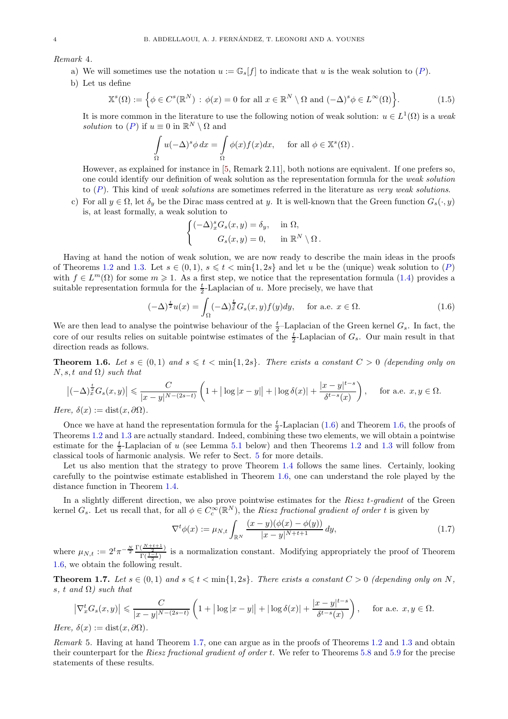*Remark* 4*.*

- a) We will sometimes use the notation  $u := \mathbb{G}_{s}[f]$  to indicate that u is the weak solution to  $(P)$  $(P)$  $(P)$ .
- b) Let us define

$$
\mathbb{X}^s(\Omega) := \left\{ \phi \in C^s(\mathbb{R}^N) : \phi(x) = 0 \text{ for all } x \in \mathbb{R}^N \setminus \Omega \text{ and } (-\Delta)^s \phi \in L^\infty(\Omega) \right\}.
$$
 (1.5)

It is more common in the literature to use the following notion of weak solution:  $u \in L^1(\Omega)$  is a *weak solution* to  $(P)$  $(P)$  $(P)$  if  $u \equiv 0$  in  $\mathbb{R}^N \setminus \Omega$  and

$$
\int_{\Omega} u(-\Delta)^s \phi \, dx = \int_{\Omega} \phi(x) f(x) dx, \quad \text{ for all } \phi \in \mathbb{X}^s(\Omega).
$$

However, as explained for instance in [\[5,](#page-20-2) Remark 2.11], both notions are equivalent. If one prefers so, one could identify our definition of weak solution as the representation formula for the *weak solution* to ([P](#page-0-0)). This kind of *weak solutions* are sometimes referred in the literature as *very weak solutions*.

c) For all  $y \in \Omega$ , let  $\delta_y$  be the Dirac mass centred at y. It is well-known that the Green function  $G_s(\cdot, y)$ is, at least formally, a weak solution to

$$
\begin{cases}\n(-\Delta)_x^s G_s(x,y) = \delta_y, & \text{in } \Omega, \\
G_s(x,y) = 0, & \text{in } \mathbb{R}^N \setminus \Omega.\n\end{cases}
$$

Having at hand the notion of weak solution, we are now ready to describe the main ideas in the proofs of Theorems [1.2](#page-1-0) and [1.3.](#page-1-1) Let  $s \in (0,1)$ ,  $s \leq t < \min\{1,2s\}$  and let u be the (unique) weak solution to  $(P)$  $(P)$  $(P)$ with  $f \in L^m(\Omega)$  for some  $m \geq 1$ . As a first step, we notice that the representation formula [\(1.4\)](#page-2-0) provides a suitable representation formula for the  $\frac{t}{2}$ -Laplacian of u. More precisely, we have that

<span id="page-3-0"></span>
$$
(-\Delta)^{\frac{t}{2}}u(x) = \int_{\Omega} (-\Delta)^{\frac{t}{2}} G_s(x, y) f(y) dy, \quad \text{for a.e. } x \in \Omega.
$$
 (1.6)

We are then lead to analyse the pointwise behaviour of the  $\frac{t}{2}$ -Laplacian of the Green kernel  $G_s$ . In fact, the core of our results relies on suitable pointwise estimates of the  $\frac{t}{2}$ -Laplacian of  $G_s$ . Our main result in that direction reads as follows.

<span id="page-3-1"></span>**Theorem 1.6.** Let  $s \in (0,1)$  and  $s \leq t < \min\{1,2s\}$ . There exists a constant  $C > 0$  (depending only on N, s, t *and* Ω*) such that*

$$
\left|(-\Delta)^{\frac{t}{2}}G_s(x,y)\right| \leqslant \frac{C}{|x-y|^{N-(2s-t)}}\left(1+|\log|x-y||+|\log\delta(x)|+\frac{|x-y|^{t-s}}{\delta^{t-s}(x)}\right), \quad \text{ for a.e. } x,y \in \Omega.
$$

*Here,*  $\delta(x) := \text{dist}(x, \partial\Omega)$ *.* 

Once we have at hand the representation formula for the  $\frac{t}{2}$ -Laplacian [\(1.6\)](#page-3-0) and Theorem [1.6,](#page-3-1) the proofs of Theorems [1.2](#page-1-0) and [1.3](#page-1-1) are actually standard. Indeed, combining these two elements, we will obtain a pointwise estimate for the  $\frac{t}{2}$ -Laplacian of u (see Lemma [5.1](#page-15-0) below) and then Theorems [1.2](#page-1-0) and [1.3](#page-1-1) will follow from classical tools of harmonic analysis. We refer to Sect. [5](#page-15-1) for more details.

Let us also mention that the strategy to prove Theorem [1.4](#page-1-2) follows the same lines. Certainly, looking carefully to the pointwise estimate established in Theorem [1.6,](#page-3-1) one can understand the role played by the distance function in Theorem [1.4.](#page-1-2)

In a slightly different direction, we also prove pointwise estimates for the *Riesz* t*-gradient* of the Green kernel  $G_s$ . Let us recall that, for all  $\phi \in C_c^{\infty}(\mathbb{R}^N)$ , the *Riesz fractional gradient of order* t is given by

$$
\nabla^t \phi(x) := \mu_{N,t} \int_{\mathbb{R}^N} \frac{(x - y)(\phi(x) - \phi(y))}{|x - y|^{N+t+1}} \, dy,\tag{1.7}
$$

where  $\mu_{N,t} := 2^t \pi^{-\frac{N}{2}} \frac{\Gamma(\frac{N+t+1}{2})}{\Gamma(\frac{1-t}{2})}$  $\frac{\sqrt{2}}{\Gamma(\frac{1-t}{2})}$  is a normalization constant. Modifying appropriately the proof of Theorem [1.6,](#page-3-1) we obtain the following result.

<span id="page-3-2"></span>**Theorem 1.7.** Let  $s \in (0,1)$  and  $s \leq t < \min\{1,2s\}$ . There exists a constant  $C > 0$  (depending only on N, s*,* t *and* Ω*) such that*

$$
\left|\nabla_x^t G_s(x,y)\right| \leqslant \frac{C}{|x-y|^{N-(2s-t)}} \left(1 + |\log|x-y|| + |\log \delta(x)| + \frac{|x-y|^{t-s}}{\delta^{t-s}(x)}\right), \quad \text{ for a.e. } x, y \in \Omega.
$$

*Here,*  $\delta(x) := \text{dist}(x, \partial\Omega)$ *.* 

*Remark* 5*.* Having at hand Theorem [1.7,](#page-3-2) one can argue as in the proofs of Theorems [1.2](#page-1-0) and [1.3](#page-1-1) and obtain their counterpart for the *Riesz fractional gradient of order* t. We refer to Theorems [5.8](#page-20-3) and [5.9](#page-20-4) for the precise statements of these results.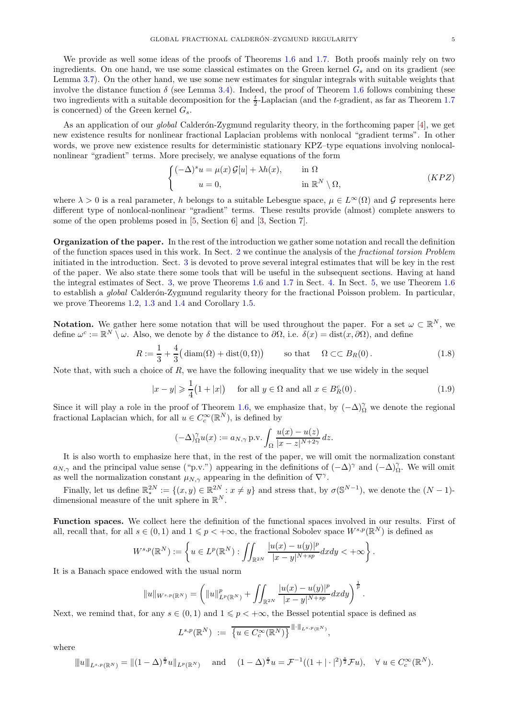We provide as well some ideas of the proofs of Theorems [1.6](#page-3-1) and [1.7.](#page-3-2) Both proofs mainly rely on two ingredients. On one hand, we use some classical estimates on the Green kernel  $G_s$  and on its gradient (see Lemma [3.7\)](#page-10-0). On the other hand, we use some new estimates for singular integrals with suitable weights that involve the distance function  $\delta$  (see Lemma [3.4\)](#page-9-0). Indeed, the proof of Theorem [1.6](#page-3-1) follows combining these two ingredients with a suitable decomposition for the  $\frac{t}{2}$ -Laplacian (and the t-gradient, as far as Theorem [1.7](#page-3-2) is concerned) of the Green kernel  $G_s$ .

As an application of our *global* Calderón-Zygmund regularity theory, in the forthcoming paper [\[4\]](#page-20-5), we get new existence results for nonlinear fractional Laplacian problems with nonlocal "gradient terms". In other words, we prove new existence results for deterministic stationary KPZ–type equations involving nonlocalnonlinear "gradient" terms. More precisely, we analyse equations of the form

$$
\begin{cases}\n(-\Delta)^s u = \mu(x) \mathcal{G}[u] + \lambda h(x), & \text{in } \Omega \\
u = 0, & \text{in } \mathbb{R}^N \setminus \Omega,\n\end{cases}
$$
\n $(KPZ)$ 

where  $\lambda > 0$  is a real parameter, h belongs to a suitable Lebesgue space,  $\mu \in L^{\infty}(\Omega)$  and G represents here different type of nonlocal-nonlinear "gradient" terms. These results provide (almost) complete answers to some of the open problems posed in [\[5,](#page-20-2) Section 6] and [\[3,](#page-20-6) Section 7].

Organization of the paper. In the rest of the introduction we gather some notation and recall the definition of the function spaces used in this work. In Sect. [2](#page-5-2) we continue the analysis of the *fractional torsion Problem* initiated in the introduction. Sect. [3](#page-7-0) is devoted to prove several integral estimates that will be key in the rest of the paper. We also state there some tools that will be useful in the subsequent sections. Having at hand the integral estimates of Sect. [3,](#page-7-0) we prove Theorems [1.6](#page-3-1) and [1.7](#page-3-2) in Sect. [4.](#page-11-0) In Sect. [5,](#page-15-1) we use Theorem [1.6](#page-3-1) to establish a *global* Calderón-Zygmund regularity theory for the fractional Poisson problem. In particular, we prove Theorems [1.2,](#page-1-0) [1.3](#page-1-1) and [1.4](#page-1-2) and Corollary [1.5.](#page-2-1)

**Notation.** We gather here some notation that will be used throughout the paper. For a set  $\omega \subset \mathbb{R}^N$ , we define  $\omega^c := \mathbb{R}^N \setminus \omega$ . Also, we denote by  $\delta$  the distance to  $\partial\Omega$ , i.e.  $\delta(x) = \text{dist}(x, \partial\Omega)$ , and define

<span id="page-4-0"></span>
$$
R := \frac{1}{3} + \frac{4}{3} \left( \operatorname{diam}(\Omega) + \operatorname{dist}(0, \Omega) \right) \qquad \text{so that} \qquad \Omega \subset\subset B_R(0). \tag{1.8}
$$

Note that, with such a choice of  $R$ , we have the following inequality that we use widely in the sequel

<span id="page-4-1"></span>
$$
|x - y| \geqslant \frac{1}{4} (1 + |x|) \quad \text{for all } y \in \Omega \text{ and all } x \in B_R^c(0). \tag{1.9}
$$

Since it will play a role in the proof of Theorem [1.6,](#page-3-1) we emphasize that, by  $(-\Delta)_{\Omega}^{\gamma}$  we denote the regional fractional Laplacian which, for all  $u \in C_c^{\infty}(\mathbb{R}^N)$ , is defined by

$$
(-\Delta)_{\Omega}^{\gamma}u(x) := a_{N,\gamma} \operatorname{p.v.} \int_{\Omega} \frac{u(x) - u(z)}{|x - z|^{N+2\gamma}} dz.
$$

It is also worth to emphasize here that, in the rest of the paper, we will omit the normalization constant  $a_{N,\gamma}$  and the principal value sense ("p.v.") appearing in the definitions of  $(-\Delta)^\gamma$  and  $(-\Delta)^\gamma$ . We will omit as well the normalization constant  $\mu_{N,\gamma}$  appearing in the definition of  $\nabla^{\gamma}$ .

Finally, let us define  $\mathbb{R}^{2N}_{*} := \{(x, y) \in \mathbb{R}^{2N} : x \neq y\}$  and stress that, by  $\sigma(\mathbb{S}^{N-1})$ , we denote the  $(N-1)$ dimensional measure of the unit sphere in  $\mathbb{R}^N$ .

Function spaces. We collect here the definition of the functional spaces involved in our results. First of all, recall that, for all  $s \in (0,1)$  and  $1 \leq p < +\infty$ , the fractional Sobolev space  $W^{s,p}(\mathbb{R}^N)$  is defined as

$$
W^{s,p}(\mathbb{R}^N):=\left\{u\in L^p(\mathbb{R}^N):\iint_{\mathbb{R}^{2N}}\frac{|u(x)-u(y)|^p}{|x-y|^{N+sp}}dxdy<+\infty\right\}.
$$

It is a Banach space endowed with the usual norm

$$
||u||_{W^{s,p}(\mathbb{R}^N)} = \left(||u||^p_{L^p(\mathbb{R}^N)} + \iint_{\mathbb{R}^{2N}} \frac{|u(x) - u(y)|^p}{|x - y|^{N + sp}} dx dy\right)^{\frac{1}{p}}.
$$

Next, we remind that, for any  $s \in (0,1)$  and  $1 \leq p \leq +\infty$ , the Bessel potential space is defined as

$$
L^{s,p}(\mathbb{R}^N) := \overline{\{u \in C_c^{\infty}(\mathbb{R}^N)\}}^{\|\cdot\|_{L^{s,p}(\mathbb{R}^N)}},
$$

where

$$
||||u||_{L^{s,p}(\mathbb{R}^N)} = ||(1-\Delta)^{\frac{s}{2}}u||_{L^p(\mathbb{R}^N)}
$$
 and  $(1-\Delta)^{\frac{s}{2}}u = \mathcal{F}^{-1}((1+|\cdot|^2)^{\frac{s}{2}}\mathcal{F}u), \quad \forall u \in C_c^{\infty}(\mathbb{R}^N).$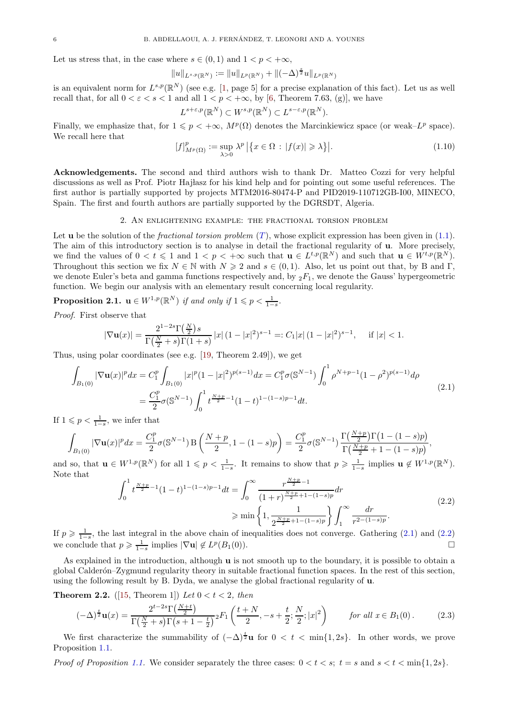Let us stress that, in the case where  $s \in (0,1)$  and  $1 < p < +\infty$ ,

$$
||u||_{L^{s,p}(\mathbb{R}^N)} := ||u||_{L^p(\mathbb{R}^N)} + ||(-\Delta)^{\frac{s}{2}}u||_{L^p(\mathbb{R}^N)}
$$

is an equivalent norm for  $L^{s,p}(\mathbb{R}^N)$  (see e.g. [\[1,](#page-20-7) page 5] for a precise explanation of this fact). Let us as well recall that, for all  $0 < \varepsilon < s < 1$  and all  $1 < p < +\infty$ , by [\[6,](#page-20-8) Theorem 7.63, (g)], we have

$$
L^{s+\varepsilon,p}(\mathbb{R}^N) \subset W^{s,p}(\mathbb{R}^N) \subset L^{s-\varepsilon,p}(\mathbb{R}^N).
$$

Finally, we emphasize that, for  $1 \leq p < +\infty$ ,  $M^p(\Omega)$  denotes the Marcinkiewicz space (or weak– $L^p$  space). We recall here that

<span id="page-5-3"></span>
$$
[f]_{M^{p}(\Omega)}^{p} := \sup_{\lambda > 0} \lambda^{p} | \{ x \in \Omega : |f(x)| \geqslant \lambda \} |.
$$
 (1.10)

Acknowledgements. The second and third authors wish to thank Dr. Matteo Cozzi for very helpful discussions as well as Prof. Piotr Hajlasz for his kind help and for pointing out some useful references. The first author is partially supported by projects MTM2016-80474-P and PID2019-110712GB-I00, MINECO, Spain. The first and fourth authors are partially supported by the DGRSDT, Algeria.

## 2. An enlightening example: the fractional torsion problem

<span id="page-5-2"></span>Let **u** be the solution of the *fractional torsion problem*  $(T)$  $(T)$  $(T)$ , whose explicit expression has been given in [\(1.1\)](#page-0-2). The aim of this introductory section is to analyse in detail the fractional regularity of u. More precisely, we find the values of  $0 < t \leq 1$  and  $1 < p < +\infty$  such that  $\mathbf{u} \in L^{t,p}(\mathbb{R}^N)$  and such that  $\mathbf{u} \in W^{t,p}(\mathbb{R}^N)$ . Throughout this section we fix  $N \in \mathbb{N}$  with  $N \geq 2$  and  $s \in (0, 1)$ . Also, let us point out that, by B and  $\Gamma$ , we denote Euler's beta and gamma functions respectively and, by  ${}_2F_1$ , we denote the Gauss' hypergeometric function. We begin our analysis with an elementary result concerning local regularity.

<span id="page-5-0"></span>**Proposition 2.1.**  $\mathbf{u} \in W^{1,p}(\mathbb{R}^N)$  *if and only if*  $1 \leq p < \frac{1}{1-s}$ .

*Proof.* First observe that

$$
|\nabla \mathbf{u}(x)| = \frac{2^{1-2s} \Gamma(\frac{N}{2})s}{\Gamma(\frac{N}{2}+s) \Gamma(1+s)} |x| (1-|x|^2)^{s-1} =: C_1 |x| (1-|x|^2)^{s-1}, \quad \text{if } |x| < 1.
$$

Thus, using polar coordinates (see e.g. [\[19,](#page-21-13) Theorem 2.49]), we get

<span id="page-5-4"></span>
$$
\int_{B_1(0)} |\nabla \mathbf{u}(x)|^p dx = C_1^p \int_{B_1(0)} |x|^p (1-|x|^2)^{p(s-1)} dx = C_1^p \sigma(\mathbb{S}^{N-1}) \int_0^1 \rho^{N+p-1} (1-\rho^2)^{p(s-1)} d\rho
$$
\n
$$
= \frac{C_1^p}{2} \sigma(\mathbb{S}^{N-1}) \int_0^1 t^{\frac{N+p}{2}-1} (1-t)^{1-(1-s)p-1} dt.
$$
\n(2.1)

If  $1 \leqslant p < \frac{1}{1-s}$ , we infer that

$$
\int_{B_1(0)} |\nabla \mathbf{u}(x)|^p dx = \frac{C_1^p}{2} \sigma(\mathbb{S}^{N-1}) \mathcal{B}\left(\frac{N+p}{2}, 1-(1-s)p\right) = \frac{C_1^p}{2} \sigma(\mathbb{S}^{N-1}) \frac{\Gamma(\frac{N+p}{2}) \Gamma(1-(1-s)p)}{\Gamma(\frac{N+p}{2}+1-(1-s)p)},
$$

and so, that  $\mathbf{u} \in W^{1,p}(\mathbb{R}^N)$  for all  $1 \leqslant p < \frac{1}{1-s}$ . It remains to show that  $p \geqslant \frac{1}{1-s}$  implies  $\mathbf{u} \notin W^{1,p}(\mathbb{R}^N)$ . Note that

<span id="page-5-5"></span>
$$
\int_0^1 t^{\frac{N+p}{2}-1} (1-t)^{1-(1-s)p-1} dt = \int_0^\infty \frac{r^{\frac{N+p}{2}-1}}{(1+r)^{\frac{N+p}{2}+1-(1-s)p}} dr
$$
\n
$$
\geqslant \min\left\{1, \frac{1}{2^{\frac{N+p}{2}+1-(1-s)p}}\right\} \int_1^\infty \frac{dr}{r^{2-(1-s)p}}.
$$
\n(2.2)

If  $p \geq \frac{1}{1-s}$ , the last integral in the above chain of inequalities does not converge. Gathering [\(2.1\)](#page-5-4) and [\(2.2\)](#page-5-5) we conclude that  $p \geq \frac{1}{1-s}$  implies  $|\nabla \mathbf{u}| \notin L^p(B_1(0)).$ 

As explained in the introduction, although  $\bf{u}$  is not smooth up to the boundary, it is possible to obtain a global Calder´on–Zygmund regularity theory in suitable fractional function spaces. In the rest of this section, using the following result by B. Dyda, we analyse the global fractional regularity of u.

<span id="page-5-1"></span>**Theorem 2.2.** ([\[15,](#page-21-0) Theorem 1]) *Let*  $0 < t < 2$ *, then* 

<span id="page-5-6"></span>
$$
(-\Delta)^{\frac{t}{2}}\mathbf{u}(x) = \frac{2^{t-2s}\Gamma(\frac{N+t}{2})}{\Gamma(\frac{N}{2}+s)\Gamma(s+1-\frac{t}{2})}{}_2F_1\left(\frac{t+N}{2}, -s+\frac{t}{2}; \frac{N}{2}; |x|^2\right) \qquad \text{for all } x \in B_1(0). \tag{2.3}
$$

We first characterize the summability of  $(-\Delta)^{\frac{t}{2}}u$  for  $0 < t < \min\{1, 2s\}$ . In other words, we prove Proposition [1.1.](#page-0-3)

*Proof of Proposition [1.1.](#page-0-3)* We consider separately the three cases:  $0 < t < s$ ;  $t = s$  and  $s < t < \min\{1, 2s\}$ .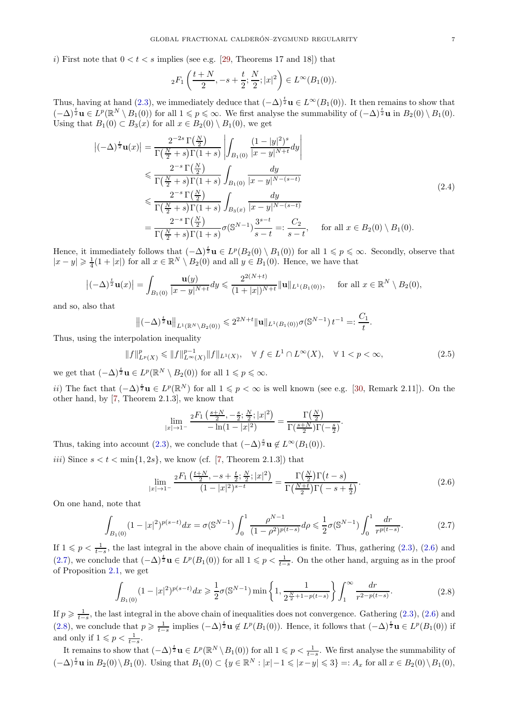i) First note that  $0 < t < s$  implies (see e.g. [\[29,](#page-21-14) Theorems 17 and 18]) that

$$
{}_2F_1\left(\frac{t+N}{2}, -s+\frac{t}{2}; \frac{N}{2}; |x|^2\right) \in L^\infty(B_1(0)).
$$

Thus, having at hand [\(2.3\)](#page-5-6), we immediately deduce that  $(-\Delta)^{\frac{t}{2}}\mathbf{u} \in L^{\infty}(B_1(0))$ . It then remains to show that  $(-\Delta)^{\frac{t}{2}}\mathbf{u} \in L^p(\mathbb{R}^N \setminus B_1(0))$  for all  $1 \leqslant p \leqslant \infty$ . We first analyse the summability of  $(-\Delta)^{\frac{t}{2}}\mathbf{u}$  in  $B_2(0) \setminus B_1(0)$ . Using that  $B_1(0) \subset B_3(x)$  for all  $x \in B_2(0) \setminus B_1(0)$ , we get

$$
\begin{split}\n|(-\Delta)^{\frac{t}{2}}\mathbf{u}(x)| &= \frac{2^{-2s}\Gamma(\frac{N}{2})}{\Gamma(\frac{N}{2}+s)\Gamma(1+s)} \left| \int_{B_1(0)} \frac{(1-|y|^2)^s}{|x-y|^{N+t}} dy \right| \\
&\leq \frac{2^{-s}\Gamma(\frac{N}{2})}{\Gamma(\frac{N}{2}+s)\Gamma(1+s)} \int_{B_1(0)} \frac{dy}{|x-y|^{N-(s-t)}} \\
&\leq \frac{2^{-s}\Gamma(\frac{N}{2})}{\Gamma(\frac{N}{2}+s)\Gamma(1+s)} \int_{B_3(x)} \frac{dy}{|x-y|^{N-(s-t)}} \\
&= \frac{2^{-s}\Gamma(\frac{N}{2})}{\Gamma(\frac{N}{2}+s)\Gamma(1+s)} \sigma(\mathbb{S}^{N-1}) \frac{3^{s-t}}{s-t} =: \frac{C_2}{s-t}, \quad \text{for all } x \in B_2(0) \setminus B_1(0).\n\end{split}
$$
\n(2.4)

Hence, it immediately follows that  $(-\Delta)^{\frac{t}{2}}\mathbf{u} \in L^p(B_2(0) \setminus B_1(0))$  for all  $1 \leqslant p \leqslant \infty$ . Secondly, observe that  $|x-y| \geq \frac{1}{4}(1+|x|)$  for all  $x \in \mathbb{R}^N \setminus B_2(0)$  and all  $y \in B_1(0)$ . Hence, we have that

$$
\left|(-\Delta)^{\frac{t}{2}}\mathbf{u}(x)\right| = \int_{B_1(0)}\frac{\mathbf{u}(y)}{|x-y|^{N+t}}dy \leqslant \frac{2^{2(N+t)}}{(1+|x|)^{N+t}}\|\mathbf{u}\|_{L^1(B_1(0))}, \quad \text{ for all } x \in \mathbb{R}^N \setminus B_2(0),
$$

and so, also that

$$
\left\|(-\Delta)^{\frac{t}{2}}\mathbf{u}\right\|_{L^1(\mathbb{R}^N\setminus B_2(0))}\leqslant 2^{2N+t}\|\mathbf{u}\|_{L^1(B_1(0))}\sigma(\mathbb{S}^{N-1})\,t^{-1}=: \frac{C_1}{t}.
$$

Thus, using the interpolation inequality

<span id="page-6-3"></span>
$$
||f||_{L^{p}(X)}^{p} \le ||f||_{L^{\infty}(X)}^{p-1} ||f||_{L^{1}(X)}, \quad \forall f \in L^{1} \cap L^{\infty}(X), \quad \forall 1 < p < \infty,
$$
\n(2.5)

we get that  $(-\Delta)^{\frac{t}{2}}\mathbf{u} \in L^p(\mathbb{R}^N \setminus B_2(0))$  for all  $1 \leqslant p \leqslant \infty$ .

*ii*) The fact that  $(-\Delta)^{\frac{s}{2}}$ **u** ∈  $L^p(\mathbb{R}^N)$  for all  $1 \leq p < \infty$  is well known (see e.g. [\[30,](#page-21-8) Remark 2.11]). On the other hand, by [\[7,](#page-20-9) Theorem 2.1.3], we know that

$$
\lim_{|x|\to 1^{-}} \frac{{}_2F_1\left(\frac{s+N}{2},-\frac{s}{2};\frac{N}{2};|x|^2\right)}{-\ln(1-|x|^2)} = \frac{\Gamma\left(\frac{N}{2}\right)}{\Gamma\left(\frac{s+N}{2}\right)\Gamma\left(-\frac{s}{2}\right)}.
$$

Thus, taking into account [\(2.3\)](#page-5-6), we conclude that  $(-\Delta)^{\frac{s}{2}}\mathbf{u} \notin L^{\infty}(B_1(0)).$ 

iii) Since  $s < t < \min\{1, 2s\}$ , we know (cf. [\[7,](#page-20-9) Theorem 2.1.3]) that

<span id="page-6-0"></span>
$$
\lim_{|x| \to 1^{-}} \frac{{}_2F_1\left(\frac{t+N}{2}, -s + \frac{t}{2}; \frac{N}{2}; |x|^2\right)}{(1-|x|^2)^{s-t}} = \frac{\Gamma\left(\frac{N}{2}\right)\Gamma\left(t-s\right)}{\Gamma\left(\frac{N+t}{2}\right)\Gamma\left(-s + \frac{t}{2}\right)}.
$$
\n(2.6)

On one hand, note that

<span id="page-6-1"></span>
$$
\int_{B_1(0)} (1-|x|^2)^{p(s-t)} dx = \sigma(\mathbb{S}^{N-1}) \int_0^1 \frac{\rho^{N-1}}{(1-\rho^2)^{p(t-s)}} d\rho \le \frac{1}{2} \sigma(\mathbb{S}^{N-1}) \int_0^1 \frac{dr}{r^{p(t-s)}}.
$$
\n(2.7)

If  $1 \leqslant p < \frac{1}{t-s}$ , the last integral in the above chain of inequalities is finite. Thus, gathering [\(2.3\)](#page-5-6), [\(2.6\)](#page-6-0) and [\(2.7\)](#page-6-1), we conclude that  $(-\Delta)^{\frac{t}{2}}\mathbf{u} \in L^p(B_1(0))$  for all  $1 \leq p < \frac{1}{t-s}$ . On the other hand, arguing as in the proof of Proposition [2.1,](#page-5-0) we get

<span id="page-6-2"></span>
$$
\int_{B_1(0)} (1-|x|^2)^{p(s-t)} dx \ge \frac{1}{2}\sigma(\mathbb{S}^{N-1}) \min\left\{1, \frac{1}{2^{\frac{N}{2}+1-p(t-s)}}\right\} \int_1^\infty \frac{dr}{r^{2-p(t-s)}}. \tag{2.8}
$$

If  $p \geq \frac{1}{t-s}$ , the last integral in the above chain of inequalities does not convergence. Gathering [\(2.3\)](#page-5-6), [\(2.6\)](#page-6-0) and [\(2.8\)](#page-6-2), we conclude that  $p \geqslant \frac{1}{t-s}$  implies  $(-\Delta)^{\frac{t}{2}} \mathbf{u} \notin L^p(B_1(0))$ . Hence, it follows that  $(-\Delta)^{\frac{t}{2}} \mathbf{u} \in L^p(B_1(0))$  if and only if  $1 \leqslant p < \frac{1}{t-s}$ .

It remains to show that  $(-\Delta)^{\frac{t}{2}}\mathbf{u} \in L^p(\mathbb{R}^N \setminus B_1(0))$  for all  $1 \leqslant p < \frac{1}{t-s}$ . We first analyse the summability of  $(-\Delta)^{\frac{t}{2}}$ **u** in  $B_2(0)\setminus B_1(0)$ . Using that  $B_1(0) \subset \{y \in \mathbb{R}^N : |x|-1 \leq |x-y| \leq 3\} =: A_x$  for all  $x \in B_2(0)\setminus B_1(0)$ ,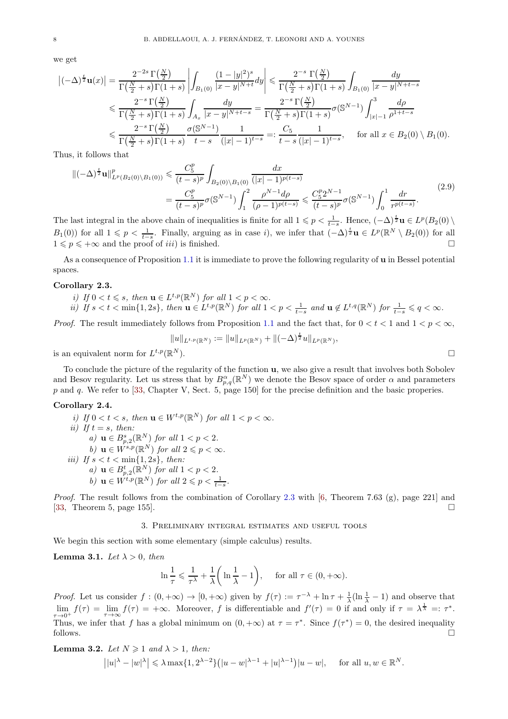we get

$$
\left|(-\Delta)^{\frac{t}{2}}\mathbf{u}(x)\right| = \frac{2^{-2s}\Gamma(\frac{N}{2})}{\Gamma(\frac{N}{2}+s)\Gamma(1+s)} \left| \int_{B_1(0)} \frac{(1-|y|^2)^s}{|x-y|^{N+t}} dy \right| \leq \frac{2^{-s}\Gamma(\frac{N}{2})}{\Gamma(\frac{N}{2}+s)\Gamma(1+s)} \int_{B_1(0)} \frac{dy}{|x-y|^{N+t-s}} \n\leq \frac{2^{-s}\Gamma(\frac{N}{2})}{\Gamma(\frac{N}{2}+s)\Gamma(1+s)} \int_{A_x} \frac{dy}{|x-y|^{N+t-s}} = \frac{2^{-s}\Gamma(\frac{N}{2})}{\Gamma(\frac{N}{2}+s)\Gamma(1+s)} \sigma(\mathbb{S}^{N-1}) \int_{|x|-1}^3 \frac{d\rho}{\rho^{1+t-s}} \n\leq \frac{2^{-s}\Gamma(\frac{N}{2})}{\Gamma(\frac{N}{2}+s)\Gamma(1+s)} \frac{\sigma(\mathbb{S}^{N-1})}{t-s} \frac{1}{(|x|-1)^{t-s}} =: \frac{C_5}{t-s} \frac{1}{(|x|-1)^{t-s}}, \quad \text{for all } x \in B_2(0) \setminus B_1(0).
$$

Thus, it follows that

$$
\|(-\Delta)^{\frac{t}{2}}\mathbf{u}\|_{L^{p}(B_{2}(0)\setminus B_{1}(0))}^{p} \leq \frac{C_{5}^{p}}{(t-s)^{p}} \int_{B_{2}(0)\setminus B_{1}(0)} \frac{dx}{(|x|-1)^{p(t-s)}} \n= \frac{C_{5}^{p}}{(t-s)^{p}} \sigma(\mathbb{S}^{N-1}) \int_{1}^{2} \frac{\rho^{N-1} d\rho}{(\rho-1)^{p(t-s)}} \leq \frac{C_{5}^{p} 2^{N-1}}{(t-s)^{p}} \sigma(\mathbb{S}^{N-1}) \int_{0}^{1} \frac{dr}{r^{p(t-s)}}.
$$
\n(2.9)

The last integral in the above chain of inequalities is finite for all  $1 \leq p < \frac{1}{t-s}$ . Hence,  $(-\Delta)^{\frac{t}{2}}\mathbf{u} \in L^p(B_2(0) \setminus$  $B_1(0)$  for all  $1 \leqslant p < \frac{1}{t-s}$ . Finally, arguing as in case i), we infer that  $(-\Delta)^{\frac{t}{2}}\mathbf{u} \in L^p(\mathbb{R}^N \setminus B_2(0))$  for all  $1 \leqslant p \leqslant +\infty$  and the proof of *iii*) is finished.

As a consequence of Proposition [1.1](#page-0-3) it is immediate to prove the following regularity of u in Bessel potential spaces.

## <span id="page-7-1"></span>Corollary 2.3.

- *i)* If  $0 < t \leq s$ , then  $\mathbf{u} \in L^{t,p}(\mathbb{R}^N)$  for all  $1 < p < \infty$ .
- *ii*) If  $s < t < \min\{1, 2s\}$ , then  $\mathbf{u} \in L^{t,p}(\mathbb{R}^N)$  for all  $1 < p < \frac{1}{t-s}$  and  $\mathbf{u} \notin L^{t,q}(\mathbb{R}^N)$  for  $\frac{1}{t-s} \leqslant q < \infty$ .

*Proof.* The result immediately follows from Proposition [1.1](#page-0-3) and the fact that, for  $0 < t < 1$  and  $1 < p < \infty$ ,

$$
||u||_{L^{t,p}(\mathbb{R}^N)} := ||u||_{L^p(\mathbb{R}^N)} + ||(-\Delta)^{\frac{t}{2}}u||_{L^p(\mathbb{R}^N)},
$$
  

$$
\Box
$$

is an equivalent norm for  $L^{t,p}(\mathbb{R})$ 

To conclude the picture of the regularity of the function u, we also give a result that involves both Sobolev and Besov regularity. Let us stress that by  $B_{p,q}^{\alpha}(\mathbb{R}^N)$  we denote the Besov space of order  $\alpha$  and parameters p and q. We refer to [\[33,](#page-21-15) Chapter V, Sect. 5, page 150] for the precise definition and the basic properies.

# Corollary 2.4.

*i)* If  $0 < t < s$ , then  $\mathbf{u} \in W^{t,p}(\mathbb{R}^N)$  for all  $1 < p < \infty$ . *ii*) If  $t = s$ *, then: a*)  $\mathbf{u} \in B_{p,2}^{s}(\mathbb{R}^{N})$  *for all*  $1 < p < 2$ *. b*)  $\mathbf{u} \in \mathring{W}^{s,p}(\mathbb{R}^N)$  *for all*  $2 \leqslant p < \infty$ *. iii)* If  $s < t < \min\{1, 2s\}$ , then: *a*)  $\mathbf{u} \in B^t_{p,2}(\mathbb{R}^N)$  *for all*  $1 < p < 2$ *. b*)  $\mathbf{u} \in \hat{W}^{t,p}(\mathbb{R}^N)$  *for all*  $2 \leqslant p < \frac{1}{t-s}$ *.* 

<span id="page-7-0"></span>*Proof.* The result follows from the combination of Corollary [2.3](#page-7-1) with [\[6,](#page-20-8) Theorem 7.63 (g), page 221] and [\[33,](#page-21-15) Theorem 5, page 155].

## 3. Preliminary integral estimates and useful tools

We begin this section with some elementary (simple calculus) results.

<span id="page-7-3"></span>**Lemma 3.1.** *Let*  $\lambda > 0$ *, then* 

$$
\ln\frac{1}{\tau}\leqslant\frac{1}{\tau^{\lambda}}+\frac{1}{\lambda}\bigg(\ln\frac{1}{\lambda}-1\bigg),\quad \text{ for all }\tau\in(0,+\infty).
$$

*Proof.* Let us consider  $f : (0, +\infty) \to [0, +\infty)$  given by  $f(\tau) := \tau^{-\lambda} + \ln \tau + \frac{1}{\lambda}(\ln \frac{1}{\lambda} - 1)$  and observe that  $\lim_{\tau \to 0^+} f(\tau) = \lim_{\tau \to \infty} f(\tau) = +\infty$ . Moreover, f is differentiable and  $f'(\tau) = 0$  if and only if  $\tau = \lambda^{\frac{1}{\lambda}} =: \tau^*$ . Thus, we infer that f has a global minimum on  $(0, +\infty)$  at  $\tau = \tau^*$ . Since  $f(\tau^*) = 0$ , the desired inequality follows.  $\Box$ 

<span id="page-7-2"></span>**Lemma 3.2.** Let 
$$
N \ge 1
$$
 and  $\lambda > 1$ , then:  
\n
$$
||u|^{\lambda} - |w|^{\lambda} | \le \lambda \max\{1, 2^{\lambda - 2}\} (|u - w|^{\lambda - 1} + |u|^{\lambda - 1}) |u - w|, \quad \text{for all } u, w \in \mathbb{R}^N.
$$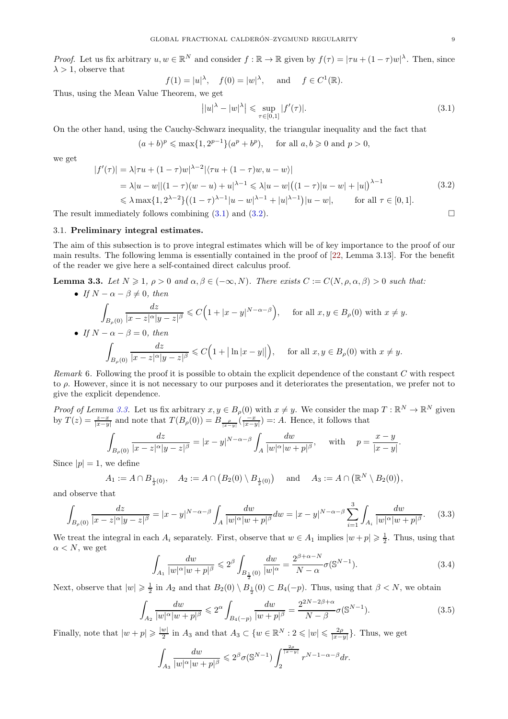*Proof.* Let us fix arbitrary  $u, w \in \mathbb{R}^N$  and consider  $f : \mathbb{R} \to \mathbb{R}$  given by  $f(\tau) = |\tau u + (1 - \tau)w|^\lambda$ . Then, since  $\lambda > 1$ , observe that

$$
f(1) = |u|^{\lambda}, \quad f(0) = |w|^{\lambda}, \quad \text{and} \quad f \in C^{1}(\mathbb{R}).
$$

Thus, using the Mean Value Theorem, we get

<span id="page-8-0"></span>
$$
||u|^{\lambda} - |w|^{\lambda}| \leq \sup_{\tau \in [0,1]} |f'(\tau)|. \tag{3.1}
$$

On the other hand, using the Cauchy-Schwarz inequality, the triangular inequality and the fact that

$$
(a+b)^p \le \max\{1, 2^{p-1}\}(a^p + b^p),
$$
 for all  $a, b \ge 0$  and  $p > 0$ ,

we get

<span id="page-8-1"></span>
$$
|f'(\tau)| = \lambda |\tau u + (1 - \tau)w|^{\lambda - 2} |\langle \tau u + (1 - \tau)w, u - w \rangle|
$$
  
=  $\lambda |u - w| |(1 - \tau)(w - u) + u|^{\lambda - 1} \le \lambda |u - w| ((1 - \tau) |u - w| + |u|)^{\lambda - 1}$   
 $\le \lambda \max\{1, 2^{\lambda - 2}\} ((1 - \tau)^{\lambda - 1} |u - w|^{\lambda - 1} + |u|^{\lambda - 1}) |u - w|, \quad \text{for all } \tau \in [0, 1].$  (3.2)

The result immediately follows combining  $(3.1)$  and  $(3.2)$ .

# 3.1. Preliminary integral estimates.

The aim of this subsection is to prove integral estimates which will be of key importance to the proof of our main results. The following lemma is essentially contained in the proof of [\[22,](#page-21-16) Lemma 3.13]. For the benefit of the reader we give here a self-contained direct calculus proof.

<span id="page-8-2"></span>**Lemma 3.3.** *Let*  $N \geq 1$ ,  $\rho > 0$  *and*  $\alpha, \beta \in (-\infty, N)$ *. There exists*  $C := C(N, \rho, \alpha, \beta) > 0$  *such that:* 

\n- \n
$$
\text{If } N - \alpha - \beta \neq 0, \text{ then}
$$
\n
$$
\int_{B_{\rho}(0)} \frac{dz}{|x - z|^{\alpha} |y - z|^{\beta}} \leq C \Big( 1 + |x - y|^{N - \alpha - \beta} \Big), \quad \text{for all } x, y \in B_{\rho}(0) \text{ with } x \neq y.
$$
\n
\n- \n
$$
\text{If } N - \alpha - \beta = 0, \text{ then}
$$
\n
$$
\int_{B_{\rho}(0)} \frac{dz}{|x - z|^{\alpha} |y - z|^{\beta}} \leq C \Big( 1 + |\ln|x - y|| \Big), \quad \text{for all } x, y \in B_{\rho}(0) \text{ with } x \neq y.
$$
\n
\n

*Remark* 6*.* Following the proof it is possible to obtain the explicit dependence of the constant C with respect to ρ. However, since it is not necessary to our purposes and it deteriorates the presentation, we prefer not to give the explicit dependence.

*Proof of Lemma [3.3.](#page-8-2)* Let us fix arbitrary  $x, y \in B_\rho(0)$  with  $x \neq y$ . We consider the map  $T : \mathbb{R}^N \to \mathbb{R}^N$  given by  $T(z) = \frac{z-x}{|x-y|}$  and note that  $T(B_\rho(0)) = B_{\frac{\rho}{|x-y|}}(\frac{-x}{|x-y|}) =: A$ . Hence, it follows that

$$
\int_{B_{\rho}(0)} \frac{dz}{|x-z|^{\alpha}|y-z|^{\beta}} = |x-y|^{N-\alpha-\beta} \int_A \frac{dw}{|w|^{\alpha}|w+p|^{\beta}}, \quad \text{with} \quad p = \frac{x-y}{|x-y|}.
$$

Since  $|p|=1$ , we define

$$
A_1 := A \cap B_{\frac{1}{2}(0)}, \quad A_2 := A \cap (B_2(0) \setminus B_{\frac{1}{2}(0)}) \quad \text{ and } \quad A_3 := A \cap (\mathbb{R}^N \setminus B_2(0)),
$$

and observe that

<span id="page-8-4"></span>
$$
\int_{B_{\rho}(0)} \frac{dz}{|x - z|^{\alpha}|y - z|^{\beta}} = |x - y|^{N - \alpha - \beta} \int_{A} \frac{dw}{|w|^{\alpha}|w + p|^{\beta}} dw = |x - y|^{N - \alpha - \beta} \sum_{i=1}^{3} \int_{A_{i}} \frac{dw}{|w|^{\alpha}|w + p|^{\beta}}.
$$
 (3.3)

We treat the integral in each  $A_i$  separately. First, observe that  $w \in A_1$  implies  $|w+p| \geq \frac{1}{2}$ . Thus, using that  $\alpha < N$ , we get

<span id="page-8-3"></span>
$$
\int_{A_1} \frac{dw}{|w|^{\alpha}|w+p|^{\beta}} \leq 2^{\beta} \int_{B_{\frac{1}{2}}(0)} \frac{dw}{|w|^{\alpha}} = \frac{2^{\beta+\alpha-N}}{N-\alpha} \sigma(\mathbb{S}^{N-1}).
$$
\n(3.4)

Next, observe that  $|w| \geq \frac{1}{2}$  in  $A_2$  and that  $B_2(0) \setminus B_{\frac{1}{2}}(0) \subset B_4(-p)$ . Thus, using that  $\beta < N$ , we obtain

$$
\int_{A_2} \frac{dw}{|w|^{\alpha}|w+p|^{\beta}} \leq 2^{\alpha} \int_{B_4(-p)} \frac{dw}{|w+p|^{\beta}} = \frac{2^{2N-2\beta+\alpha}}{N-\beta} \sigma(\mathbb{S}^{N-1}).
$$
\n(3.5)

Finally, note that  $|w+p| \geqslant \frac{|w|}{2}$  $\frac{w}{2}$  in  $A_3$  and that  $A_3 \subset \{w \in \mathbb{R}^N : 2 \leqslant |w| \leqslant \frac{2\rho}{|x-y|}\}.$  Thus, we get

$$
\int_{A_3} \frac{dw}{|w|^{\alpha}|w+p|^{\beta}} \leq 2^{\beta} \sigma(\mathbb{S}^{N-1}) \int_2^{\frac{2\rho}{|x-y|}} r^{N-1-\alpha-\beta} dr.
$$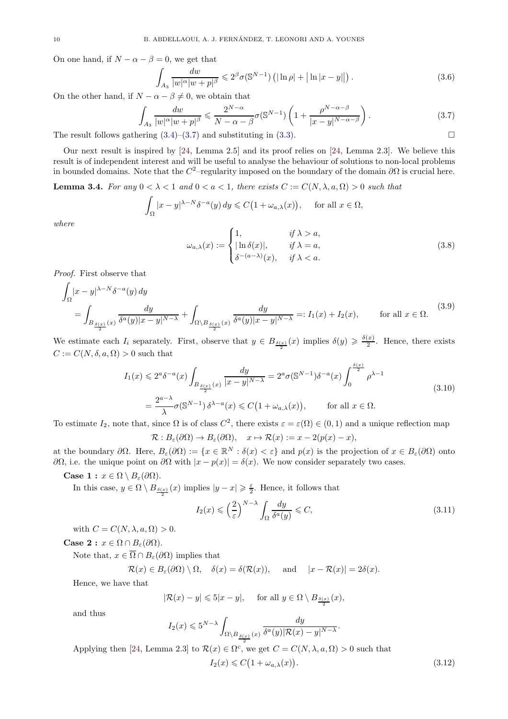On one hand, if  $N - \alpha - \beta = 0$ , we get that

$$
\int_{A_3} \frac{dw}{|w|^{\alpha}|w+p|^{\beta}} \leq 2^{\beta} \sigma(\mathbb{S}^{N-1}) \left( |\ln \rho| + |\ln |x-y|| \right). \tag{3.6}
$$

On the other hand, if  $N - \alpha - \beta \neq 0$ , we obtain that

<span id="page-9-1"></span>
$$
\int_{A_3} \frac{dw}{|w|^{\alpha}|w+p|^{\beta}} \leq \frac{2^{N-\alpha}}{N-\alpha-\beta} \sigma(\mathbb{S}^{N-1}) \left(1 + \frac{\rho^{N-\alpha-\beta}}{|x-y|^{N-\alpha-\beta}}\right). \tag{3.7}
$$

The result follows gathering  $(3.4)$ – $(3.7)$  and substituting in  $(3.3)$ .

Our next result is inspired by [\[24,](#page-21-17) Lemma 2.5] and its proof relies on [\[24,](#page-21-17) Lemma 2.3]. We believe this result is of independent interest and will be useful to analyse the behaviour of solutions to non-local problems in bounded domains. Note that the  $C^2$ -regularity imposed on the boundary of the domain  $\partial\Omega$  is crucial here.

<span id="page-9-0"></span>**Lemma 3.4.** For any  $0 < \lambda < 1$  and  $0 < a < 1$ , there exists  $C := C(N, \lambda, a, \Omega) > 0$  such that

$$
\int_{\Omega} |x - y|^{\lambda - N} \delta^{-a}(y) dy \leq C \big( 1 + \omega_{a,\lambda}(x) \big), \quad \text{ for all } x \in \Omega,
$$

*where*

 $\Gamma$ 

$$
\omega_{a,\lambda}(x) := \begin{cases} 1, & \text{if } \lambda > a, \\ |\ln \delta(x)|, & \text{if } \lambda = a, \\ \delta^{-(a-\lambda)}(x), & \text{if } \lambda < a. \end{cases}
$$
 (3.8)

*Proof.* First observe that

<span id="page-9-5"></span>
$$
\int_{\Omega} |x - y|^{\lambda - N} \delta^{-a}(y) dy
$$
\n
$$
= \int_{B_{\frac{\delta(x)}{2}}(x)} \frac{dy}{\delta^{a}(y)|x - y|^{N - \lambda}} + \int_{\Omega \setminus B_{\frac{\delta(x)}{2}}(x)} \frac{dy}{\delta^{a}(y)|x - y|^{N - \lambda}} =: I_{1}(x) + I_{2}(x), \quad \text{for all } x \in \Omega.
$$
\n
$$
(3.9)
$$

We estimate each  $I_i$  separately. First, observe that  $y \in B_{\frac{\delta(x)}{2}}(x)$  implies  $\delta(y) \geq \frac{\delta(x)}{2}$  $\frac{x}{2}$ . Hence, there exists  $C := C(N, \delta, a, \Omega) > 0$  such that

<span id="page-9-4"></span>
$$
I_1(x) \leq 2^a \delta^{-a}(x) \int_{B_{\frac{\delta(x)}{2}}(x)} \frac{dy}{|x-y|^{N-\lambda}} = 2^a \sigma(\mathbb{S}^{N-1}) \delta^{-a}(x) \int_0^{\frac{\delta(x)}{2}} \rho^{\lambda-1}
$$
  
= 
$$
\frac{2^{a-\lambda}}{\lambda} \sigma(\mathbb{S}^{N-1}) \delta^{\lambda-a}(x) \leq C\left(1 + \omega_{a,\lambda}(x)\right), \qquad \text{for all } x \in \Omega.
$$
 (3.10)

To estimate  $I_2$ , note that, since  $\Omega$  is of class  $C^2$ , there exists  $\varepsilon = \varepsilon(\Omega) \in (0,1)$  and a unique reflection map

$$
\mathcal{R}: B_{\varepsilon}(\partial \Omega) \to B_{\varepsilon}(\partial \Omega), \quad x \mapsto \mathcal{R}(x) := x - 2(p(x) - x),
$$

at the boundary  $\partial\Omega$ . Here,  $B_{\varepsilon}(\partial\Omega) := \{x \in \mathbb{R}^N : \delta(x) < \varepsilon\}$  and  $p(x)$  is the projection of  $x \in B_{\varepsilon}(\partial\Omega)$  onto  $∂Ω$ , i.e. the unique point on  $∂Ω$  with  $|x − p(x)| = δ(x)$ . We now consider separately two cases.

Case 1 :  $x \in \Omega \setminus B_{\varepsilon}(\partial \Omega)$ .

In this case,  $y \in \Omega \setminus B_{\frac{\delta(x)}{2}}(x)$  implies  $|y - x| \geq \frac{\varepsilon}{2}$ . Hence, it follows that

<span id="page-9-2"></span>
$$
I_2(x) \leqslant \left(\frac{2}{\varepsilon}\right)^{N-\lambda} \int_{\Omega} \frac{dy}{\delta^a(y)} \leqslant C,
$$
\n(3.11)

with  $C = C(N, \lambda, a, \Omega) > 0$ .

Case 2 :  $x \in \Omega \cap B_{\varepsilon}(\partial\Omega)$ .

Note that,  $x \in \overline{\Omega} \cap B_{\varepsilon}(\partial \Omega)$  implies that

$$
\mathcal{R}(x) \in B_{\varepsilon}(\partial \Omega) \setminus \Omega, \quad \delta(x) = \delta(\mathcal{R}(x)), \quad \text{and} \quad |x - \mathcal{R}(x)| = 2\delta(x).
$$

Hence, we have that

$$
|\mathcal{R}(x) - y| \leq 5|x - y|
$$
, for all  $y \in \Omega \setminus B_{\frac{\delta(x)}{2}}(x)$ ,

and thus

$$
I_2(x) \leqslant 5^{N-\lambda} \int_{\Omega \backslash B_{\frac{\delta(x)}{2}}(x)} \frac{dy}{\delta^a(y) |{\mathcal{R}}(x) - y|^{N-\lambda}}
$$

Applying then [\[24,](#page-21-17) Lemma 2.3] to  $\mathcal{R}(x) \in \Omega^c$ , we get  $C = C(N, \lambda, a, \Omega) > 0$  such that

<span id="page-9-3"></span>
$$
I_2(x) \leqslant C\big(1 + \omega_{a,\lambda}(x)\big). \tag{3.12}
$$

.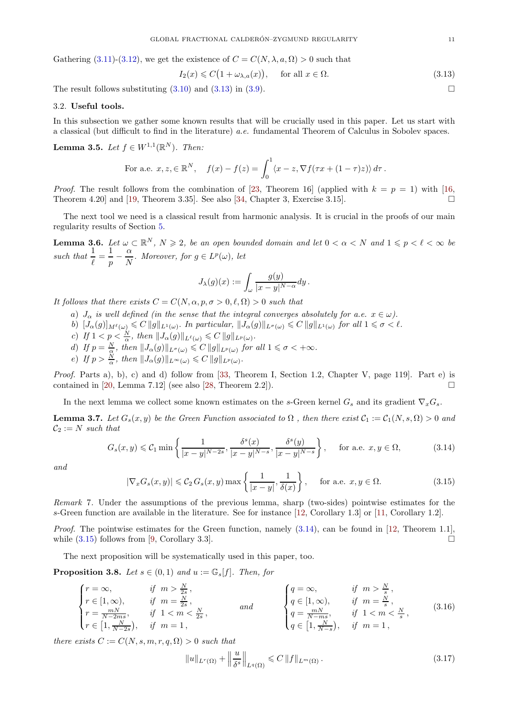Gathering [\(3.11\)](#page-9-2)-[\(3.12\)](#page-9-3), we get the existence of  $C = C(N, \lambda, a, \Omega) > 0$  such that

<span id="page-10-1"></span>
$$
I_2(x) \leq C(1 + \omega_{\lambda, a}(x)), \quad \text{for all } x \in \Omega.
$$
 (3.13)

The result follows substituting  $(3.10)$  and  $(3.13)$  in  $(3.9)$ .

## 3.2. Useful tools.

In this subsection we gather some known results that will be crucially used in this paper. Let us start with a classical (but difficult to find in the literature) *a.e.* fundamental Theorem of Calculus in Sobolev spaces.

<span id="page-10-7"></span>**Lemma 3.5.** *Let*  $f \in W^{1,1}(\mathbb{R}^N)$ *. Then:* 

For a.e. 
$$
x, z \in \mathbb{R}^N
$$
,  $f(x) - f(z) = \int_0^1 \langle x - z, \nabla f(\tau x + (1 - \tau)z) \rangle d\tau$ .

*Proof.* The result follows from the combination of [\[23,](#page-21-18) Theorem 16] (applied with  $k = p = 1$ ) with [\[16,](#page-21-19) Theorem 4.20] and [\[19,](#page-21-13) Theorem 3.35]. See also [\[34,](#page-21-20) Chapter 3, Exercise 3.15].

The next tool we need is a classical result from harmonic analysis. It is crucial in the proofs of our main regularity results of Section [5.](#page-15-1)

<span id="page-10-6"></span>**Lemma 3.6.** Let  $\omega \subset \mathbb{R}^N$ ,  $N \geq 2$ , be an open bounded domain and let  $0 < \alpha < N$  and  $1 \leqslant p < \ell < \infty$  be such that  $\frac{1}{\ell} = \frac{1}{p}$  $\frac{1}{p} - \frac{\alpha}{N}$  $\frac{\alpha}{N}$ *.* Moreover, for  $g \in L^p(\omega)$ , let

$$
J_\lambda(g)(x):=\int_\omega\frac{g(y)}{|x-y|^{N-\alpha}}dy\,.
$$

*It follows that there exists*  $C = C(N, \alpha, p, \sigma > 0, \ell, \Omega) > 0$  *such that* 

- a)  $J_{\alpha}$  *is well defined (in the sense that the integral converges absolutely for a.e.*  $x \in \omega$ ).
- b)  $[J_\alpha(g)]_{M^{\ell}(\omega)} \leqslant C ||g||_{L^1(\omega)}$ . In particular,  $||J_\alpha(g)||_{L^{\sigma}(\omega)} \leqslant C ||g||_{L^1(\omega)}$  for all  $1 \leqslant \sigma < \ell$ .
- c) If  $1 < p < \frac{N}{\alpha}$ , then  $||J_{\alpha}(g)||_{L^{\ell}(\omega)} \leqslant C ||g||_{L^{p}(\omega)}$ .
- d) If  $p = \frac{N}{\alpha}$ , then  $||J_{\alpha}(g)||_{L^{\sigma}(\omega)} \leqslant C ||g||_{L^{p}(\omega)}$  for all  $1 \leqslant \sigma < +\infty$ .
- e) If  $p > \frac{N}{\alpha}$ , then  $||J_{\alpha}(g)||_{L^{\infty}(\omega)} \leq C ||g||_{L^{p}(\omega)}$ .

*Proof.* Parts a), b), c) and d) follow from [\[33,](#page-21-15) Theorem I, Section 1.2, Chapter V, page 119]. Part e) is contained in [\[20,](#page-21-1) Lemma 7.12] (see also [\[28,](#page-21-21) Theorem 2.2]).  $\square$ 

In the next lemma we collect some known estimates on the s-Green kernel  $G_s$  and its gradient  $\nabla_x G_s$ .

<span id="page-10-0"></span>**Lemma 3.7.** *Let*  $G_s(x, y)$  *be the Green Function associated to*  $\Omega$ , *then there exist*  $C_1 := C_1(N, s, \Omega) > 0$  *and*  $C_2 := N$  *such that* 

<span id="page-10-2"></span>
$$
G_s(x,y) \leqslant C_1 \min\left\{\frac{1}{|x-y|^{N-2s}}, \frac{\delta^s(x)}{|x-y|^{N-s}}, \frac{\delta^s(y)}{|x-y|^{N-s}}\right\}, \quad \text{for a.e. } x, y \in \Omega,
$$
 (3.14)

*and*

<span id="page-10-3"></span>
$$
|\nabla_x G_s(x,y)| \leq C_2 G_s(x,y) \max\left\{\frac{1}{|x-y|}, \frac{1}{\delta(x)}\right\}, \quad \text{for a.e. } x, y \in \Omega.
$$
 (3.15)

*Remark* 7*.* Under the assumptions of the previous lemma, sharp (two-sides) pointwise estimates for the s-Green function are available in the literature. See for instance [\[12,](#page-21-22) Corollary 1.3] or [\[11,](#page-21-23) Corollary 1.2].

*Proof.* The pointwise estimates for the Green function, namely  $(3.14)$ , can be found in [\[12,](#page-21-22) Theorem 1.1], while  $(3.15)$  follows from [\[9,](#page-20-10) Corollary 3.3].

The next proposition will be systematically used in this paper, too.

<span id="page-10-8"></span>**Proposition 3.8.** *Let*  $s \in (0,1)$  *and*  $u := \mathbb{G}_s[f]$ *. Then, for* 

<span id="page-10-4"></span>
$$
\begin{cases}\nr = \infty, & \text{if } m > \frac{N}{2s}, \\
r \in [1, \infty), & \text{if } m = \frac{N}{2s}, \\
r = \frac{mN}{N-2ms}, & \text{if } 1 < m < \frac{N}{2s}, \\
r \in [1, \frac{N}{N-2s}), & \text{if } m = 1,\n\end{cases}\n\qquad \text{and} \qquad\n\begin{cases}\nq = \infty, & \text{if } m > \frac{N}{s}, \\
q \in [1, \infty), & \text{if } m = \frac{N}{s}, \\
q = \frac{mN}{N - ms}, & \text{if } 1 < m < \frac{N}{s}, \\
q \in [1, \frac{N}{N-s}), & \text{if } m = 1,\n\end{cases}\n\qquad (3.16)
$$

*there exists*  $C := C(N, s, m, r, q, \Omega) > 0$  *such that* 

<span id="page-10-5"></span>
$$
||u||_{L^{r}(\Omega)} + ||\frac{u}{\delta^{s}}||_{L^{q}(\Omega)} \leq C ||f||_{L^{m}(\Omega)}.
$$
\n(3.17)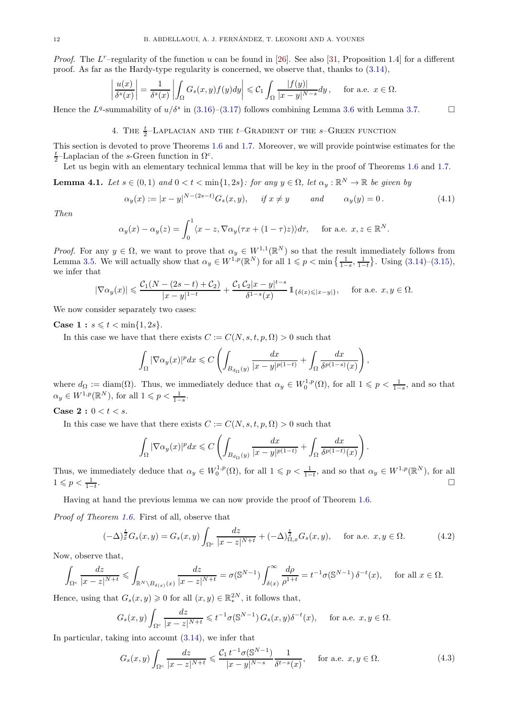*Proof.* The  $L^r$ -regularity of the function u can be found in [\[26\]](#page-21-6). See also [\[31,](#page-21-24) Proposition 1.4] for a different proof. As far as the Hardy-type regularity is concerned, we observe that, thanks to [\(3.14\)](#page-10-2),

$$
\left|\frac{u(x)}{\delta^s(x)}\right| = \frac{1}{\delta^s(x)} \left| \int_{\Omega} G_s(x, y) f(y) dy \right| \leq C_1 \int_{\Omega} \frac{|f(y)|}{|x - y|^{N - s}} dy, \quad \text{for a.e. } x \in \Omega.
$$

<span id="page-11-0"></span>Hence the  $L^q$ -summability of  $u/\delta^s$  in [\(3.16\)](#page-10-4)–[\(3.17\)](#page-10-5) follows combining Lemma [3.6](#page-10-6) with Lemma [3.7.](#page-10-0)

# 4. THE  $\frac{t}{2}$ -Laplacian and the t–Gradient of the s–Green function

This section is devoted to prove Theorems [1.6](#page-3-1) and [1.7.](#page-3-2) Moreover, we will provide pointwise estimates for the  $\frac{t}{2}$ -Laplacian of the s-Green function in  $\Omega^c$ .

Let us begin with an elementary technical lemma that will be key in the proof of Theorems [1.6](#page-3-1) and [1.7.](#page-3-2)

<span id="page-11-2"></span>**Lemma 4.1.** Let  $s \in (0,1)$  and  $0 < t < \min\{1,2s\}$ : for any  $y \in \Omega$ , let  $\alpha_y : \mathbb{R}^N \to \mathbb{R}$  be given by

<span id="page-11-1"></span>
$$
\alpha_y(x) := |x - y|^{N - (2s - t)} G_s(x, y), \quad \text{if } x \neq y \quad \text{and} \quad \alpha_y(y) = 0. \tag{4.1}
$$

*Then*

$$
\alpha_y(x) - \alpha_y(z) = \int_0^1 \langle x - z, \nabla \alpha_y(\tau x + (1 - \tau)z) \rangle d\tau, \quad \text{for a.e. } x, z \in \mathbb{R}^N.
$$

*Proof.* For any  $y \in \Omega$ , we want to prove that  $\alpha_y \in W^{1,1}(\mathbb{R}^N)$  so that the result immediately follows from Lemma [3.5.](#page-10-7) We will actually show that  $\alpha_y \in W^{1,p}(\mathbb{R}^N)$  for all  $1 \leq p < \min\left\{\frac{1}{1-s}, \frac{1}{1-t}\right\}$ . Using  $(3.14)-(3.15)$  $(3.14)-(3.15)$ , we infer that

$$
|\nabla \alpha_y(x)|\leqslant \frac{\mathcal{C}_1(N-(2s-t)+\mathcal{C}_2)}{|x-y|^{1-t}}+\frac{\mathcal{C}_1\,\mathcal{C}_2|x-y|^{t-s}}{\delta^{1-s}(x)}\,\mathbb{1}_{\{\delta(x)\leqslant|x-y|\}},\quad \text{ for a.e. } x,y\in\Omega.
$$

We now consider separately two cases:

**Case 1** :  $s \leq t < \min\{1, 2s\}.$ 

In this case we have that there exists  $C := C(N, s, t, p, \Omega) > 0$  such that

$$
\int_{\Omega} |\nabla \alpha_y(x)|^p dx \leq C \left( \int_{B_{d_{\Omega}}(y)} \frac{dx}{|x-y|^{p(1-t)}} + \int_{\Omega} \frac{dx}{\delta^{p(1-s)}(x)} \right),
$$

where  $d_{\Omega} := \text{diam}(\Omega)$ . Thus, we immediately deduce that  $\alpha_y \in W_0^{1,p}(\Omega)$ , for all  $1 \leqslant p \leqslant \frac{1}{1-s}$ , and so that  $\alpha_y \in W^{1,p}(\mathbb{R}^N)$ , for all  $1 \leqslant p < \frac{1}{1-s}$ .

## **Case 2 :**  $0 < t < s$ .

In this case we have that there exists  $C := C(N, s, t, p, \Omega) > 0$  such that

$$
\int_{\Omega} |\nabla \alpha_y(x)|^p dx \leqslant C \left( \int_{B_{d_{\Omega}}(y)} \frac{dx}{|x-y|^{p(1-t)}} + \int_{\Omega} \frac{dx}{\delta^{p(1-t)}(x)} \right)
$$

Thus, we immediately deduce that  $\alpha_y \in W_0^{1,p}(\Omega)$ , for all  $1 \leq p < \frac{1}{1-t}$ , and so that  $\alpha_y \in W^{1,p}(\mathbb{R}^N)$ , for all  $1 \leqslant p < \frac{1}{1-t}$ . The contract of the contract of the contract of the contract of the contract of the contract of the contract of the contract of the contract of the contract of the contract of the contract of the contract of the contrac

Having at hand the previous lemma we can now provide the proof of Theorem [1.6.](#page-3-1)

*Proof of Theorem [1.6.](#page-3-1)* First of all, observe that

<span id="page-11-3"></span>
$$
(-\Delta)_{x}^{\frac{t}{2}}G_{s}(x,y) = G_{s}(x,y)\int_{\Omega^{c}}\frac{dz}{|x-z|^{N+t}} + (-\Delta)_{\Omega,x}^{\frac{t}{2}}G_{s}(x,y), \quad \text{for a.e. } x, y \in \Omega.
$$
 (4.2)

.

Now, observe that,

$$
\int_{\Omega^c} \frac{dz}{|x-z|^{N+t}} \leq \int_{\mathbb{R}^N \setminus B_{\delta(x)}(x)} \frac{dz}{|x-z|^{N+t}} = \sigma(\mathbb{S}^{N-1}) \int_{\delta(x)}^{\infty} \frac{d\rho}{\rho^{1+t}} = t^{-1} \sigma(\mathbb{S}^{N-1}) \delta^{-t}(x), \quad \text{ for all } x \in \Omega.
$$

Hence, using that  $G_s(x, y) \ge 0$  for all  $(x, y) \in \mathbb{R}^{2N}_*$ , it follows that,

$$
G_s(x,y)\int_{\Omega^c} \frac{dz}{|x-z|^{N+t}} \leq t^{-1}\sigma(\mathbb{S}^{N-1})\,G_s(x,y)\delta^{-t}(x), \quad \text{ for a.e. } x,y \in \Omega.
$$

In particular, taking into account [\(3.14\)](#page-10-2), we infer that

<span id="page-11-4"></span>
$$
G_s(x,y)\int_{\Omega^c} \frac{dz}{|x-z|^{N+t}} \leq \frac{\mathcal{C}_1 t^{-1} \sigma(\mathbb{S}^{N-1})}{|x-y|^{N-s}} \frac{1}{\delta^{t-s}(x)}, \quad \text{for a.e. } x, y \in \Omega. \tag{4.3}
$$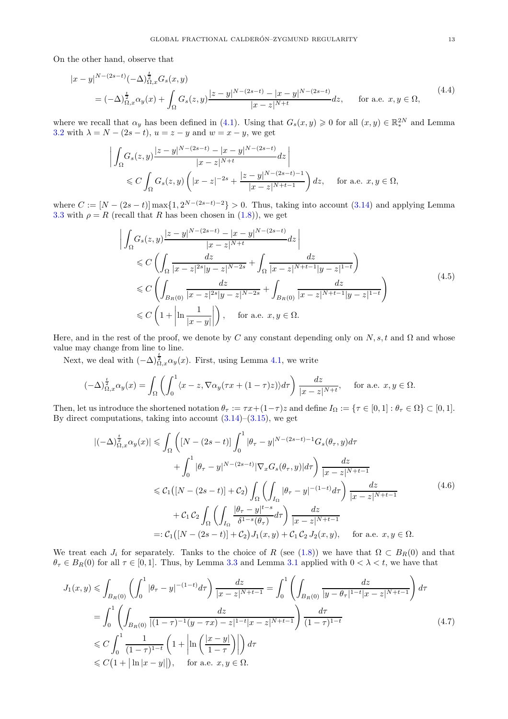On the other hand, observe that

<span id="page-12-2"></span>
$$
|x - y|^{N - (2s - t)}(-\Delta)^{\frac{t}{2}}_{\Omega, x} G_s(x, y)
$$
  
=  $(-\Delta)^{\frac{t}{2}}_{\Omega, x} \alpha_y(x) + \int_{\Omega} G_s(z, y) \frac{|z - y|^{N - (2s - t)} - |x - y|^{N - (2s - t)}}{|x - z|^{N + t}} dz$ , for a.e.  $x, y \in \Omega$ , (4.4)

where we recall that  $\alpha_y$  has been defined in [\(4.1\)](#page-11-1). Using that  $G_s(x, y) \geq 0$  for all  $(x, y) \in \mathbb{R}^{2N}_*$  and Lemma [3.2](#page-7-2) with  $\lambda = N - (2s - t)$ ,  $u = z - y$  and  $w = x - y$ , we get

$$
\left| \int_{\Omega} G_s(z, y) \frac{|z - y|^{N - (2s - t)} - |x - y|^{N - (2s - t)}}{|x - z|^{N + t}} dz \right|
$$
  
\$\leq C \int\_{\Omega} G\_s(z, y) \left( |x - z|^{-2s} + \frac{|z - y|^{N - (2s - t) - 1}}{|x - z|^{N + t - 1}} \right) dz\$, for a.e.  $x, y \in \Omega$ ,

where  $C := [N - (2s - t)] \max\{1, 2^{N-(2s-t)-2}\} > 0$ . Thus, taking into account [\(3.14\)](#page-10-2) and applying Lemma [3.3](#page-8-2) with  $\rho = R$  (recall that R has been chosen in [\(1.8\)](#page-4-0)), we get

<span id="page-12-3"></span>
$$
\left| \int_{\Omega} G_s(z, y) \frac{|z - y|^{N - (2s - t)} - |x - y|^{N - (2s - t)}}{|x - z|^{N + t}} dz \right|
$$
  
\n
$$
\leq C \left( \int_{\Omega} \frac{dz}{|x - z|^{2s} |y - z|^{N - 2s}} + \int_{\Omega} \frac{dz}{|x - z|^{N + t - 1} |y - z|^{1 - t}} \right)
$$
  
\n
$$
\leq C \left( \int_{B_R(0)} \frac{dz}{|x - z|^{2s} |y - z|^{N - 2s}} + \int_{B_R(0)} \frac{dz}{|x - z|^{N + t - 1} |y - z|^{1 - t}} \right)
$$
  
\n
$$
\leq C \left( 1 + \left| \ln \frac{1}{|x - y|} \right| \right), \quad \text{for a.e. } x, y \in \Omega.
$$
 (4.5)

Here, and in the rest of the proof, we denote by C any constant depending only on  $N, s, t$  and  $\Omega$  and whose value may change from line to line.

Next, we deal with  $(-\Delta)^{\frac{t}{2}}_{\Omega,x} \alpha_y(x)$ . First, using Lemma [4.1,](#page-11-2) we write

$$
(-\Delta)^{\frac{t}{2}}_{\Omega,x}\alpha_y(x) = \int_{\Omega} \left( \int_0^1 \langle x-z, \nabla \alpha_y(\tau x + (1-\tau)z) \rangle d\tau \right) \frac{dz}{|x-z|^{N+t}}, \quad \text{for a.e. } x, y \in \Omega.
$$

Then, let us introduce the shortened notation  $\theta_{\tau} := \tau x + (1-\tau)z$  and define  $I_{\Omega} := \{\tau \in [0,1] : \theta_{\tau} \in \Omega\} \subset [0,1]$ . By direct computations, taking into account  $(3.14)$ – $(3.15)$ , we get

<span id="page-12-1"></span>
$$
\begin{split}\n|(-\Delta)^{\frac{t}{2}}_{\Omega,x}\alpha_{y}(x)| &\leq \int_{\Omega} \left( \left[ N - (2s - t) \right] \int_{0}^{1} |\theta_{\tau} - y|^{N - (2s - t) - 1} G_{s}(\theta_{\tau}, y) d\tau \right. \\
&\left. + \int_{0}^{1} |\theta_{\tau} - y|^{N - (2s - t)} |\nabla_{x} G_{s}(\theta_{\tau}, y)| d\tau \right) \frac{dz}{|x - z|^{N + t - 1}} \\
&\leq C_{1} \left( \left[ N - (2s - t) \right] + C_{2} \right) \int_{\Omega} \left( \int_{I_{\Omega}} |\theta_{\tau} - y|^{-(1 - t)} d\tau \right) \frac{dz}{|x - z|^{N + t - 1}} \\
&+ C_{1} C_{2} \int_{\Omega} \left( \int_{I_{\Omega}} \frac{|\theta_{\tau} - y|^{t - s}}{\delta^{1 - s} (\theta_{\tau})} d\tau \right) \frac{dz}{|x - z|^{N + t - 1}} \\
&=: C_{1} \left( \left[ N - (2s - t) \right] + C_{2} \right) J_{1}(x, y) + C_{1} C_{2} J_{2}(x, y), \quad \text{for a.e. } x, y \in \Omega.\n\end{split}
$$
\n
$$
(4.6)
$$

We treat each  $J_i$  for separately. Tanks to the choice of R (see [\(1.8\)](#page-4-0)) we have that  $\Omega \subset B_R(0)$  and that  $\theta_{\tau} \in B_R(0)$  for all  $\tau \in [0,1]$ . Thus, by Lemma [3.3](#page-8-2) and Lemma [3.1](#page-7-3) applied with  $0 < \lambda < t$ , we have that

<span id="page-12-0"></span>
$$
J_{1}(x,y) \leqslant \int_{B_{R}(0)} \left( \int_{0}^{1} |\theta_{\tau} - y|^{-(1-t)} d\tau \right) \frac{dz}{|x - z|^{N+t-1}} = \int_{0}^{1} \left( \int_{B_{R}(0)} \frac{dz}{|y - \theta_{\tau}|^{1-t}|x - z|^{N+t-1}} \right) d\tau
$$
  
\n
$$
= \int_{0}^{1} \left( \int_{B_{R}(0)} \frac{dz}{|(1 - \tau)^{-1}(y - \tau x) - z|^{1-t}|x - z|^{N+t-1}} \right) \frac{d\tau}{(1 - \tau)^{1-t}}
$$
  
\n
$$
\leqslant C \int_{0}^{1} \frac{1}{(1 - \tau)^{1-t}} \left( 1 + \left| \ln \left( \frac{|x - y|}{1 - \tau} \right) \right| \right) d\tau
$$
  
\n
$$
\leqslant C \left( 1 + |\ln |x - y| \right), \quad \text{for a.e. } x, y \in \Omega.
$$
 (4.7)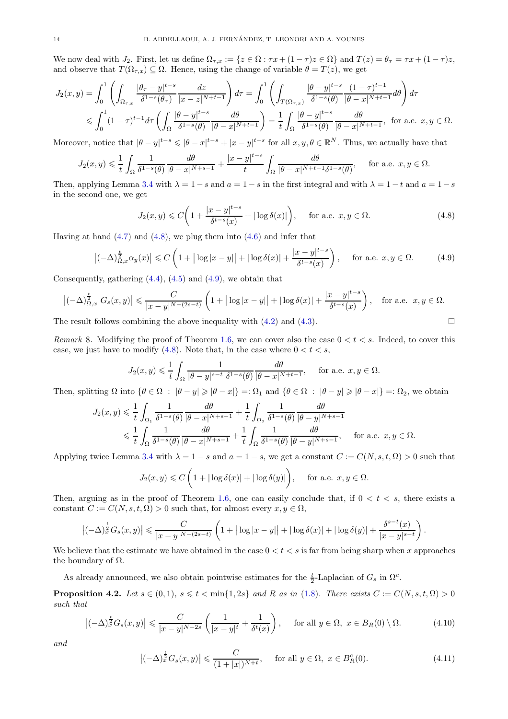We now deal with  $J_2$ . First, let us define  $\Omega_{\tau,x} := \{z \in \Omega : \tau x + (1 - \tau)z \in \Omega\}$  and  $T(z) = \theta_{\tau} = \tau x + (1 - \tau)z$ , and observe that  $T(\Omega_{\tau,x}) \subseteq \Omega$ . Hence, using the change of variable  $\theta = T(z)$ , we get

$$
J_2(x,y) = \int_0^1 \left( \int_{\Omega_{\tau,x}} \frac{|\theta_\tau - y|^{t-s}}{\delta^{1-s}(\theta_\tau)} \frac{dz}{|x - z|^{N+t-1}} \right) d\tau = \int_0^1 \left( \int_{T(\Omega_{\tau,x})} \frac{|\theta - y|^{t-s}}{\delta^{1-s}(\theta)} \frac{(1 - \tau)^{t-1}}{|\theta - x|^{N+t-1}} d\theta \right) d\tau
$$
  
\$\leqslant \int\_0^1 (1 - \tau)^{t-1} d\tau \left( \int\_{\Omega} \frac{|\theta - y|^{t-s}}{\delta^{1-s}(\theta)} \frac{d\theta}{|\theta - x|^{N+t-1}} \right) = \frac{1}{t} \int\_{\Omega} \frac{|\theta - y|^{t-s}}{\delta^{1-s}(\theta)} \frac{d\theta}{|\theta - x|^{N+t-1}}, \text{ for a.e. } x, y \in \Omega.

Moreover, notice that  $|\theta - y|^{t-s} \leq |\theta - x|^{t-s} + |x - y|^{t-s}$  for all  $x, y, \theta \in \mathbb{R}^N$ . Thus, we actually have that

$$
J_2(x,y) \leq \frac{1}{t} \int_{\Omega} \frac{1}{\delta^{1-s}(\theta)} \frac{d\theta}{|\theta-x|^{N+s-1}} + \frac{|x-y|^{t-s}}{t} \int_{\Omega} \frac{d\theta}{|\theta-x|^{N+t-1} \delta^{1-s}(\theta)}, \quad \text{for a.e. } x, y \in \Omega.
$$

Then, applying Lemma [3.4](#page-9-0) with  $\lambda = 1 - s$  and  $a = 1 - s$  in the first integral and with  $\lambda = 1 - t$  and  $a = 1 - s$ in the second one, we get

<span id="page-13-0"></span>
$$
J_2(x,y) \leq C \bigg( 1 + \frac{|x-y|^{t-s}}{\delta^{t-s}(x)} + |\log \delta(x)| \bigg), \quad \text{for a.e. } x, y \in \Omega. \tag{4.8}
$$

Having at hand  $(4.7)$  and  $(4.8)$ , we plug them into  $(4.6)$  and infer that

<span id="page-13-1"></span>
$$
\left| \left( -\Delta \right)^{\frac{t}{2}}_{\Omega, x} \alpha_y(x) \right| \leq C \left( 1 + |\log|x - y|| + |\log \delta(x)| + \frac{|x - y|^{t - s}}{\delta^{t - s}(x)} \right), \quad \text{for a.e. } x, y \in \Omega. \tag{4.9}
$$

Consequently, gathering  $(4.4)$ ,  $(4.5)$  and  $(4.9)$ , we obtain that

$$
\left|(-\Delta)_{\Omega,x}^{\frac{t}{2}} G_s(x,y)\right| \leqslant \frac{C}{|x-y|^{N-(2s-t)}} \left(1+|\log|x-y||+|\log\delta(x)|+\frac{|x-y|^{t-s}}{\delta^{t-s}(x)}\right), \quad \text{for a.e. } x, y \in \Omega.
$$

The result follows combining the above inequality with  $(4.2)$  and  $(4.3)$ .

*Remark* 8. Modifying the proof of Theorem [1.6,](#page-3-1) we can cover also the case  $0 < t < s$ . Indeed, to cover this case, we just have to modify [\(4.8\)](#page-13-0). Note that, in the case where  $0 < t < s$ ,

$$
J_2(x,y) \leq \frac{1}{t} \int_{\Omega} \frac{1}{|\theta - y|^{s-t} \ \delta^{1-s}(\theta)} \frac{d\theta}{|\theta - x|^{N+t-1}}, \quad \text{for a.e. } x, y \in \Omega.
$$

Then, splitting  $\Omega$  into  $\{\theta \in \Omega : |\theta - y| \geq |\theta - x|\} =: \Omega_1$  and  $\{\theta \in \Omega : |\theta - y| \geq |\theta - x|\} =: \Omega_2$ , we obtain

$$
J_2(x,y) \leq \frac{1}{t} \int_{\Omega_1} \frac{1}{\delta^{1-s}(\theta)} \frac{d\theta}{|\theta-x|^{N+s-1}} + \frac{1}{t} \int_{\Omega_2} \frac{1}{\delta^{1-s}(\theta)} \frac{d\theta}{|\theta-y|^{N+s-1}} \leq \frac{1}{t} \int_{\Omega} \frac{1}{\delta^{1-s}(\theta)} \frac{d\theta}{|\theta-x|^{N+s-1}} + \frac{1}{t} \int_{\Omega} \frac{1}{\delta^{1-s}(\theta)} \frac{d\theta}{|\theta-y|^{N+s-1}}, \quad \text{for a.e. } x, y \in \Omega.
$$

Applying twice Lemma [3.4](#page-9-0) with  $\lambda = 1 - s$  and  $a = 1 - s$ , we get a constant  $C := C(N, s, t, \Omega) > 0$  such that

$$
J_2(x,y) \leq C\left(1 + |\log \delta(x)| + |\log \delta(y)|\right), \quad \text{ for a.e. } x, y \in \Omega.
$$

Then, arguing as in the proof of Theorem [1.6,](#page-3-1) one can easily conclude that, if  $0 < t < s$ , there exists a constant  $C := C(N, s, t, \Omega) > 0$  such that, for almost every  $x, y \in \Omega$ ,

$$
\left|(-\Delta)^\frac{t}{2}_x G_s(x,y)\right|\leqslant \frac{C}{|x-y|^{N-(2s-t)}}\left(1+\big|\log|x-y|\big|+\big|\log\delta(x)\big|+\big|\log\delta(y)\big|+\frac{\delta^{s-t}(x)}{|x-y|^{s-t}}\right).
$$

We believe that the estimate we have obtained in the case  $0 < t < s$  is far from being sharp when x approaches the boundary of  $\Omega$ .

As already announced, we also obtain pointwise estimates for the  $\frac{t}{2}$ -Laplacian of  $G_s$  in  $\Omega^c$ .

**Proposition 4.2.** *Let*  $s \in (0,1)$ *,*  $s \leq t < \min\{1,2s\}$  *and* R *as in* [\(1.8\)](#page-4-0)*. There exists*  $C := C(N, s, t, \Omega) > 0$ *such that*

$$
\left|(-\Delta)^{\frac{t}{2}}G_s(x,y)\right| \leq \frac{C}{|x-y|^{N-2s}}\left(\frac{1}{|x-y|^t} + \frac{1}{\delta^t(x)}\right), \quad \text{for all } y \in \Omega, \ x \in B_R(0) \setminus \Omega. \tag{4.10}
$$

*and*

$$
\left| (-\Delta)^{\frac{t}{2}} G_s(x, y) \right| \leq \frac{C}{(1+|x|)^{N+t}}, \quad \text{for all } y \in \Omega, \ x \in B_R^c(0). \tag{4.11}
$$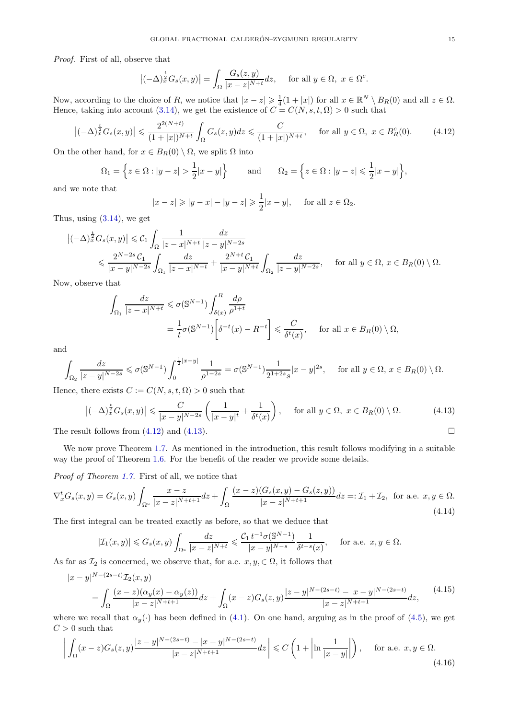*Proof.* First of all, observe that

$$
\left|(-\Delta)_{x}^{\frac{t}{2}}G_{s}(x,y)\right| = \int_{\Omega} \frac{G_{s}(z,y)}{|x-z|^{N+t}} dz, \quad \text{ for all } y \in \Omega, \ x \in \Omega^{c}.
$$

Now, according to the choice of R, we notice that  $|x-z|\geqslant \frac{1}{4}(1+|x|)$  for all  $x\in \mathbb{R}^N\setminus B_R(0)$  and all  $z\in \Omega$ . Hence, taking into account [\(3.14\)](#page-10-2), we get the existence of  $C = C(N, s, t, \Omega) > 0$  such that

<span id="page-14-0"></span>
$$
\left| (-\Delta)^{\frac{t}{2}} G_s(x, y) \right| \leq \frac{2^{2(N+t)}}{(1+|x|)^{N+t}} \int_{\Omega} G_s(z, y) dz \leq \frac{C}{(1+|x|)^{N+t}}, \quad \text{for all } y \in \Omega, \ x \in B_R^c(0). \tag{4.12}
$$

On the other hand, for  $x \in B_R(0) \setminus \Omega$ , we split  $\Omega$  into

$$
\Omega_1 = \left\{ z \in \Omega : |y - z| > \frac{1}{2} |x - y| \right\} \quad \text{and} \quad \Omega_2 = \left\{ z \in \Omega : |y - z| \le \frac{1}{2} |x - y| \right\},\
$$

and we note that

$$
|x-z| \geq |y-x| - |y-z| \geq \frac{1}{2}|x-y|
$$
, for all  $z \in \Omega_2$ .

Thus, using [\(3.14\)](#page-10-2), we get

$$
\begin{split}\n\left|(-\Delta)_{x}^{\frac{t}{2}}G_{s}(x,y)\right| &\leq C_{1} \int_{\Omega} \frac{1}{|z-x|^{N+t}} \frac{dz}{|z-y|^{N-2s}} \\
&\leq \frac{2^{N-2s} C_{1}}{|x-y|^{N-2s}} \int_{\Omega_{1}} \frac{dz}{|z-x|^{N+t}} + \frac{2^{N+t} C_{1}}{|x-y|^{N+t}} \int_{\Omega_{2}} \frac{dz}{|z-y|^{N-2s}}, \quad \text{ for all } y \in \Omega, \, x \in B_{R}(0) \setminus \Omega.\n\end{split}
$$

Now, observe that

$$
\int_{\Omega_1} \frac{dz}{|z - x|^{N+t}} \leq \sigma(\mathbb{S}^{N-1}) \int_{\delta(x)}^R \frac{d\rho}{\rho^{1+t}}
$$
\n
$$
= \frac{1}{t} \sigma(\mathbb{S}^{N-1}) \left[ \delta^{-t}(x) - R^{-t} \right] \leq \frac{C}{\delta^t(x)}, \quad \text{for all } x \in B_R(0) \setminus \Omega,
$$

and

$$
\int_{\Omega_2} \frac{dz}{|z-y|^{N-2s}} \leq \sigma(\mathbb{S}^{N-1}) \int_0^{\frac{1}{2}|x-y|} \frac{1}{\rho^{1-2s}} = \sigma(\mathbb{S}^{N-1}) \frac{1}{2^{1+2s}s} |x-y|^{2s}, \quad \text{ for all } y \in \Omega, \ x \in B_R(0) \setminus \Omega.
$$

Hence, there exists  $C := C(N, s, t, \Omega) > 0$  such that

<span id="page-14-1"></span>
$$
\left|(-\Delta)_{x}^{\frac{t}{2}}G_{s}(x,y)\right| \leqslant \frac{C}{|x-y|^{N-2s}}\left(\frac{1}{|x-y|^{t}} + \frac{1}{\delta^{t}(x)}\right), \quad \text{for all } y \in \Omega, \ x \in B_{R}(0) \setminus \Omega. \tag{4.13}
$$

The result follows from  $(4.12)$  and  $(4.13)$ .

We now prove Theorem [1.7.](#page-3-2) As mentioned in the introduction, this result follows modifying in a suitable way the proof of Theorem [1.6.](#page-3-1) For the benefit of the reader we provide some details.

*Proof of Theorem [1.7.](#page-3-2)* First of all, we notice that

$$
\nabla_x^t G_s(x, y) = G_s(x, y) \int_{\Omega^c} \frac{x - z}{|x - z|^{N + t + 1}} dz + \int_{\Omega} \frac{(x - z)(G_s(x, y) - G_s(z, y))}{|x - z|^{N + t + 1}} dz =: \mathcal{I}_1 + \mathcal{I}_2, \text{ for a.e. } x, y \in \Omega.
$$
\n(4.14)

The first integral can be treated exactly as before, so that we deduce that

$$
|\mathcal{I}_1(x,y)| \leq G_s(x,y) \int_{\Omega^c} \frac{dz}{|x-z|^{N+t}} \leq \frac{\mathcal{C}_1 t^{-1} \sigma(\mathbb{S}^{N-1})}{|x-y|^{N-s}} \frac{1}{\delta^{t-s}(x)}, \quad \text{for a.e. } x, y \in \Omega.
$$

As far as  $\mathcal{I}_2$  is concerned, we observe that, for a.e.  $x, y \in \Omega$ , it follows that

<span id="page-14-2"></span>
$$
|x-y|^{N-(2s-t)}\mathcal{I}_2(x,y)
$$
  
= 
$$
\int_{\Omega} \frac{(x-z)(\alpha_y(x)-\alpha_y(z))}{|x-z|^{N+t+1}} dz + \int_{\Omega} (x-z)G_s(z,y) \frac{|z-y|^{N-(2s-t)} - |x-y|^{N-(2s-t)}}{|x-z|^{N+t+1}} dz,
$$
 (4.15)

where we recall that  $\alpha_y(\cdot)$  has been defined in [\(4.1\)](#page-11-1). On one hand, arguing as in the proof of [\(4.5\)](#page-12-3), we get  $C > 0$  such that

$$
\left| \int_{\Omega} (x-z)G_s(z,y) \frac{|z-y|^{N-(2s-t)} - |x-y|^{N-(2s-t)}}{|x-z|^{N+t+1}} dz \right| \leq C \left( 1 + \left| \ln \frac{1}{|x-y|} \right| \right), \quad \text{for a.e. } x, y \in \Omega. \tag{4.16}
$$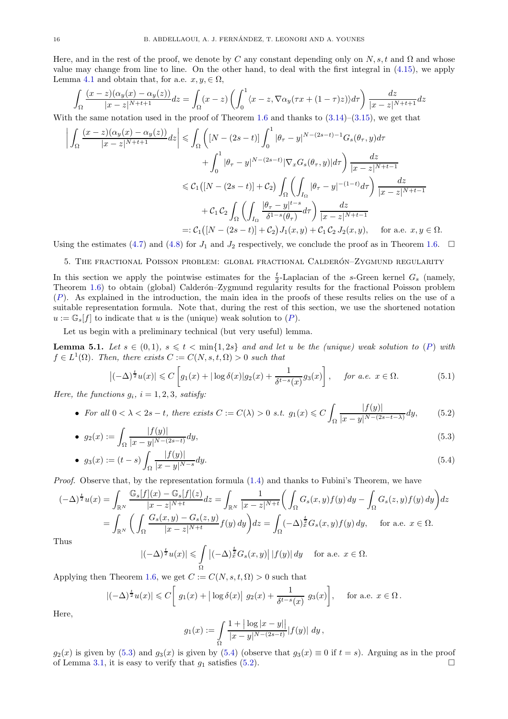Here, and in the rest of the proof, we denote by C any constant depending only on  $N, s, t$  and  $\Omega$  and whose value may change from line to line. On the other hand, to deal with the first integral in [\(4.15\)](#page-14-2), we apply Lemma [4.1](#page-11-2) and obtain that, for a.e.  $x, y \in \Omega$ ,

$$
\int_{\Omega} \frac{(x-z)(\alpha_y(x) - \alpha_y(z))}{|x-z|^{N+t+1}} dz = \int_{\Omega} (x-z) \left( \int_0^1 \langle x-z, \nabla \alpha_y(\tau x + (1-\tau)z) \rangle d\tau \right) \frac{dz}{|x-z|^{N+t+1}} dz
$$

With the same notation used in the proof of Theorem [1.6](#page-3-1) and thanks to  $(3.14)$ – $(3.15)$ , we get that

$$
\left| \int_{\Omega} \frac{(x-z)(\alpha_y(x) - \alpha_y(z))}{|x-z|^{N+t+1}} dz \right| \leq \int_{\Omega} \left( \left[ N - (2s-t) \right] \int_0^1 |\theta_{\tau} - y|^{N-(2s-t)-1} G_s(\theta_{\tau}, y) d\tau \right. \left. + \int_0^1 |\theta_{\tau} - y|^{N-(2s-t)} |\nabla_x G_s(\theta_{\tau}, y)| d\tau \right) \frac{dz}{|x-z|^{N+t-1}} \leq C_1 \left( \left[ N - (2s-t) \right] + C_2 \right) \int_{\Omega} \left( \int_{I_{\Omega}} |\theta_{\tau} - y|^{-(1-t)} d\tau \right) \frac{dz}{|x-z|^{N+t-1}} + C_1 C_2 \int_{\Omega} \left( \int_{I_{\Omega}} \frac{|\theta_{\tau} - y|^{t-s}}{\delta^{1-s}(\theta_{\tau})} d\tau \right) \frac{dz}{|x-z|^{N+t-1}} =: C_1 \left( \left[ N - (2s-t) \right] + C_2 \right) J_1(x, y) + C_1 C_2 J_2(x, y), \quad \text{for a.e. } x, y \in \Omega.
$$

<span id="page-15-1"></span>Using the estimates [\(4.7\)](#page-12-0) and [\(4.8\)](#page-13-0) for  $J_1$  and  $J_2$  respectively, we conclude the proof as in Theorem [1.6.](#page-3-1)  $\Box$ 

## 5. THE FRACTIONAL POISSON PROBLEM: GLOBAL FRACTIONAL CALDERÓN–ZYGMUND REGULARITY

In this section we apply the pointwise estimates for the  $\frac{t}{2}$ -Laplacian of the s-Green kernel  $G_s$  (namely, Theorem [1.6\)](#page-3-1) to obtain (global) Calderon–Zygmund regularity results for the fractional Poisson problem ([P](#page-0-0)). As explained in the introduction, the main idea in the proofs of these results relies on the use of a suitable representation formula. Note that, during the rest of this section, we use the shortened notation  $u := \mathbb{G}_s[f]$  to indicate that u is the (unique) weak solution to  $(P)$  $(P)$  $(P)$ .

Let us begin with a preliminary technical (but very useful) lemma.

<span id="page-15-0"></span>**Lemma 5.1.** Let  $s \in (0,1)$ ,  $s \leq t < \min\{1,2s\}$  and and let u be the (unique) weak solution to ([P](#page-0-0)) with  $f \in L^1(\Omega)$ . Then, there exists  $C := C(N, s, t, \Omega) > 0$  such that

$$
\left|(-\Delta)^{\frac{t}{2}}u(x)\right| \leqslant C\left[g_1(x) + |\log \delta(x)|g_2(x) + \frac{1}{\delta^{t-s}(x)}g_3(x)\right], \quad \text{for a.e. } x \in \Omega. \tag{5.1}
$$

*Here, the functions*  $g_i$ *,*  $i = 1, 2, 3$ *, satisfy:* 

• For all 
$$
0 < \lambda < 2s - t
$$
, there exists  $C := C(\lambda) > 0$  s.t.  $g_1(x) \leq C \int_{\Omega} \frac{|f(y)|}{|x - y|^{N - (2s - t - \lambda)}} dy$ , \tag{5.2}

• 
$$
g_2(x) := \int_{\Omega} \frac{|f(y)|}{|x - y|^{N - (2s - t)}} dy,
$$
 (5.3)

• 
$$
g_3(x) := (t - s) \int_{\Omega} \frac{|f(y)|}{|x - y|^{N - s}} dy.
$$
 (5.4)

*Proof.* Observe that, by the representation formula  $(1.4)$  and thanks to Fubini's Theorem, we have

$$
(-\Delta)^{\frac{t}{2}}u(x) = \int_{\mathbb{R}^N} \frac{\mathbb{G}_s[f](x) - \mathbb{G}_s[f](z)}{|x - z|^{N+t}} dz = \int_{\mathbb{R}^N} \frac{1}{|x - z|^{N+t}} \left( \int_{\Omega} G_s(x, y) f(y) dy - \int_{\Omega} G_s(z, y) f(y) dy \right) dz
$$
  
= 
$$
\int_{\mathbb{R}^N} \left( \int_{\Omega} \frac{G_s(x, y) - G_s(z, y)}{|x - z|^{N+t}} f(y) dy \right) dz = \int_{\Omega} (-\Delta)^{\frac{t}{2}} G_s(x, y) f(y) dy, \quad \text{for a.e. } x \in \Omega.
$$

Th

<span id="page-15-4"></span>
$$
|(-\Delta)^{\frac{t}{2}}u(x)| \leqslant \int\limits_{\Omega} \left|(-\Delta)^{\frac{t}{2}}G_s(x,y)\right| |f(y)|\,dy \quad \text{ for a.e. } x \in \Omega.
$$

Applying then Theorem [1.6,](#page-3-1) we get  $C := C(N, s, t, \Omega) > 0$  such that

$$
|(-\Delta)^{\frac{t}{2}}u(x)| \leq C\left[g_1(x) + |\log \delta(x)| g_2(x) + \frac{1}{\delta^{t-s}(x)} g_3(x)\right], \quad \text{for a.e. } x \in \Omega.
$$

Here,

<span id="page-15-3"></span><span id="page-15-2"></span>
$$
g_1(x) := \int_{\Omega} \frac{1 + |\log|x - y||}{|x - y|^{N - (2s - t)}} |f(y)| dy,
$$

 $g_2(x)$  is given by [\(5.3\)](#page-15-2) and  $g_3(x)$  is given by [\(5.4\)](#page-15-3) (observe that  $g_3(x) \equiv 0$  if  $t = s$ ). Arguing as in the proof of Lemma [3.1,](#page-7-3) it is easy to verify that  $g_1$  satisfies [\(5.2\)](#page-15-4).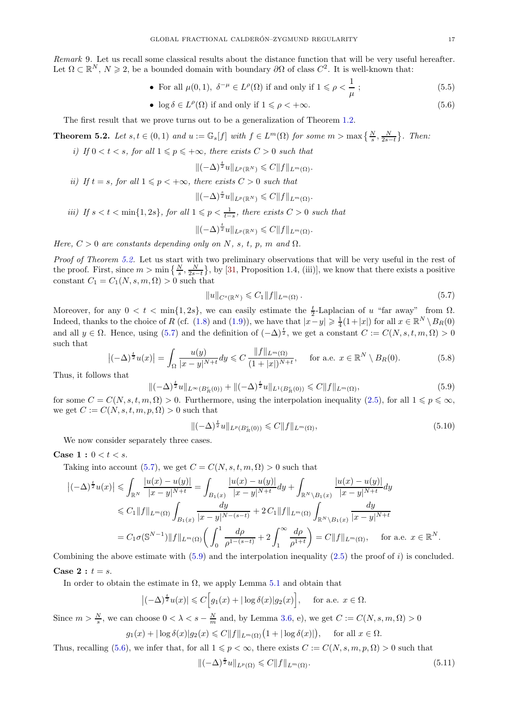*Remark* 9*.* Let us recall some classical results about the distance function that will be very useful hereafter. Let  $\Omega \subset \mathbb{R}^N$ ,  $N \geq 2$ , be a bounded domain with boundary  $\partial \Omega$  of class  $C^2$ . It is well-known that:

• For all 
$$
\mu(0, 1)
$$
,  $\delta^{-\mu} \in L^{\rho}(\Omega)$  if and only if  $1 \le \rho < \frac{1}{\mu}$  ;  $(5.5)$ 

• 
$$
\log \delta \in L^{\rho}(\Omega)
$$
 if and only if  $1 \leq \rho < +\infty$ . (5.6)

The first result that we prove turns out to be a generalization of Theorem [1.2.](#page-1-0)

<span id="page-16-0"></span>**Theorem 5.2.** Let  $s, t \in (0, 1)$  and  $u := \mathbb{G}_s[f]$  with  $f \in L^m(\Omega)$  for some  $m > \max\left\{\frac{N}{s}, \frac{N}{2s-t}\right\}$ . Then:

*i)* If  $0 < t < s$ , for all  $1 \leq p \leq +\infty$ , there exists  $C > 0$  such that

<span id="page-16-6"></span><span id="page-16-3"></span>
$$
\|(-\Delta)^{\frac{t}{2}}u\|_{L^p(\mathbb{R}^N)} \leqslant C\|f\|_{L^m(\Omega)}.
$$

*ii)* If  $t = s$ *, for all*  $1 \leq p < +\infty$ *, there exists*  $C > 0$  *such that* 

$$
\|(-\Delta)^{\frac{s}{2}}u\|_{L^p(\mathbb{R}^N)}\leqslant C\|f\|_{L^m(\Omega)}.
$$

*iii)* If  $s < t < \min\{1, 2s\}$ , for all  $1 \leq p < \frac{1}{t-s}$ , there exists  $C > 0$  such that

$$
\|(-\Delta)^{\frac{t}{2}}u\|_{L^p(\mathbb{R}^N)} \leqslant C\|f\|_{L^m(\Omega)}.
$$

*Here,*  $C > 0$  *are constants depending only on* N, s, t, p, m and  $\Omega$ .

*Proof of Theorem [5.2.](#page-16-0)* Let us start with two preliminary observations that will be very useful in the rest of the proof. First, since  $m > \min\left\{\frac{N}{s}, \frac{N}{2s-t}\right\}$ , by [\[31,](#page-21-24) Proposition 1.4, (iii)], we know that there exists a positive constant  $C_1 = C_1(N, s, m, \Omega) > 0$  such that

<span id="page-16-1"></span>
$$
||u||_{C^{s}(\mathbb{R}^N)} \leqslant C_1 ||f||_{L^m(\Omega)}.
$$
\n
$$
(5.7)
$$

Moreover, for any  $0 < t < \min\{1, 2s\}$ , we can easily estimate the  $\frac{t}{2}$ -Laplacian of u "far away" from  $\Omega$ . Indeed, thanks to the choice of R (cf. [\(1.8\)](#page-4-0) and [\(1.9\)](#page-4-1)), we have that  $|x-y| \geq \frac{1}{4}(1+|x|)$  for all  $x \in \mathbb{R}^N \setminus B_R(0)$ and all  $y \in \Omega$ . Hence, using [\(5.7\)](#page-16-1) and the definition of  $(-\Delta)^{\frac{t}{2}}$ , we get a constant  $C := C(N, s, t, m, \Omega) > 0$ such that

$$
\left| (-\Delta)^{\frac{t}{2}} u(x) \right| = \int_{\Omega} \frac{u(y)}{|x - y|^{N + t}} dy \leq C \frac{\|f\|_{L^m(\Omega)}}{(1 + |x|)^{N + t}}, \quad \text{for a.e. } x \in \mathbb{R}^N \setminus B_R(0). \tag{5.8}
$$

Thus, it follows that

<span id="page-16-2"></span>
$$
\|(-\Delta)^{\frac{t}{2}}u\|_{L^{\infty}(B_R^c(0))} + \|(-\Delta)^{\frac{t}{2}}u\|_{L^1(B_R^c(0))} \leq C\|f\|_{L^m(\Omega)},\tag{5.9}
$$

for some  $C = C(N, s, t, m, \Omega) > 0$ . Furthermore, using the interpolation inequality [\(2.5\)](#page-6-3), for all  $1 \leq p \leq \infty$ , we get  $C := C(N, s, t, m, p, \Omega) > 0$  such that

<span id="page-16-4"></span>
$$
\|(-\Delta)^{\frac{t}{2}}u\|_{L^{p}(B_{R}^{c}(0))} \leqslant C\|f\|_{L^{m}(\Omega)},\tag{5.10}
$$

We now consider separately three cases.

**Case 1** :  $0 < t < s$ .

Taking into account [\(5.7\)](#page-16-1), we get  $C = C(N, s, t, m, \Omega) > 0$  such that

$$
\left|(-\Delta)^{\frac{t}{2}}u(x)\right| \leq \int_{\mathbb{R}^N} \frac{|u(x) - u(y)|}{|x - y|^{N+t}} = \int_{B_1(x)} \frac{|u(x) - u(y)|}{|x - y|^{N+t}} dy + \int_{\mathbb{R}^N \setminus B_1(x)} \frac{|u(x) - u(y)|}{|x - y|^{N+t}} dy
$$
  
\n
$$
\leq C_1 \|f\|_{L^m(\Omega)} \int_{B_1(x)} \frac{dy}{|x - y|^{N-(s-t)}} + 2 C_1 \|f\|_{L^m(\Omega)} \int_{\mathbb{R}^N \setminus B_1(x)} \frac{dy}{|x - y|^{N+t}}
$$
  
\n
$$
= C_1 \sigma(\mathbb{S}^{N-1}) \|f\|_{L^m(\Omega)} \left(\int_0^1 \frac{d\rho}{\rho^{1-(s-t)}} + 2 \int_1^\infty \frac{d\rho}{\rho^{1+t}}\right) = C \|f\|_{L^m(\Omega)}, \quad \text{for a.e. } x \in \mathbb{R}^N.
$$

Combining the above estimate with  $(5.9)$  and the interpolation inequality  $(2.5)$  the proof of i) is concluded. Case 2 :  $t = s$ .

In order to obtain the estimate in  $\Omega$ , we apply Lemma [5.1](#page-15-0) and obtain that

$$
\left|(-\Delta)^{\frac{t}{2}}u(x)\right| \leqslant C\Big[g_1(x) + |\log \delta(x)|g_2(x)\Big], \quad \text{ for a.e. } x \in \Omega.
$$

Since  $m > \frac{N}{s}$ , we can choose  $0 < \lambda < s - \frac{N}{m}$  and, by Lemma [3.6,](#page-10-6) e), we get  $C := C(N, s, m, \Omega) > 0$  $g_1(x) + |\log \delta(x)| g_2(x) \leq C \|f\|_{L^m(\Omega)} (1 + |\log \delta(x)|), \quad \text{ for all } x \in \Omega.$ 

Thus, recalling [\(5.6\)](#page-16-3), we infer that, for all  $1 \leq p < \infty$ , there exists  $C := C(N, s, m, p, \Omega) > 0$  such that

<span id="page-16-5"></span>
$$
\|(-\Delta)^{\frac{s}{2}}u\|_{L^{p}(\Omega)} \leqslant C\|f\|_{L^{m}(\Omega)}.\tag{5.11}
$$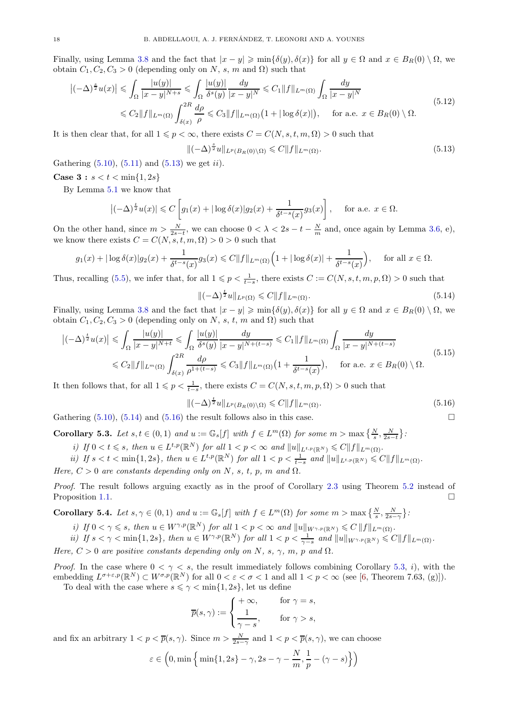Finally, using Lemma [3.8](#page-10-8) and the fact that  $|x - y| \ge \min{\{\delta(y), \delta(x)\}}$  for all  $y \in \Omega$  and  $x \in B_R(0) \setminus \Omega$ , we obtain  $C_1, C_2, C_3 > 0$  (depending only on N, s, m and  $\Omega$ ) such that

<span id="page-17-5"></span>
$$
\left|(-\Delta)^{\frac{s}{2}}u(x)\right| \leqslant \int_{\Omega} \frac{|u(y)|}{|x-y|^{N+s}} \leqslant \int_{\Omega} \frac{|u(y)|}{\delta^s(y)} \frac{dy}{|x-y|^N} \leqslant C_1 \|f\|_{L^m(\Omega)} \int_{\Omega} \frac{dy}{|x-y|^N}
$$
\n
$$
\leqslant C_2 \|f\|_{L^m(\Omega)} \int_{\delta(x)}^{2R} \frac{d\rho}{\rho} \leqslant C_3 \|f\|_{L^m(\Omega)} \left(1 + |\log \delta(x)|\right), \quad \text{for a.e. } x \in B_R(0) \setminus \Omega. \tag{5.12}
$$

It is then clear that, for all  $1 \leqslant p < \infty$ , there exists  $C = C(N, s, t, m, \Omega) > 0$  such that

<span id="page-17-1"></span>
$$
\|(-\Delta)^{\frac{s}{2}}u\|_{L^p(B_R(0)\setminus\Omega)} \leqslant C\|f\|_{L^m(\Omega)}.
$$
\n(5.13)

Gathering  $(5.10)$ ,  $(5.11)$  and  $(5.13)$  we get *ii*).

# **Case 3** :  $s < t < \min\{1, 2s\}$

By Lemma [5.1](#page-15-0) we know that

$$
\left|(-\Delta)^{\frac{t}{2}}u(x)\right| \leqslant C\left[g_1(x) + |\log \delta(x)|g_2(x) + \frac{1}{\delta^{t-s}(x)}g_3(x)\right], \quad \text{for a.e. } x \in \Omega.
$$

On the other hand, since  $m > \frac{N}{2s-t}$ , we can choose  $0 < \lambda < 2s-t-\frac{N}{m}$  and, once again by Lemma [3.6,](#page-10-6) e), we know there exists  $C = C(N, s, t, m, \Omega) > 0 > 0$  such that

$$
g_1(x) + |\log \delta(x)|g_2(x) + \frac{1}{\delta^{t-s}(x)}g_3(x) \leq C||f||_{L^m(\Omega)}\Big(1 + |\log \delta(x)| + \frac{1}{\delta^{t-s}(x)}\Big), \quad \text{ for all } x \in \Omega.
$$

Thus, recalling [\(5.5\)](#page-16-6), we infer that, for all  $1 \leq p < \frac{1}{t-s}$ , there exists  $C := C(N, s, t, m, p, \Omega) > 0$  such that

<span id="page-17-2"></span>
$$
\|(-\Delta)^{\frac{t}{2}}u\|_{L^{p}(\Omega)} \leqslant C\|f\|_{L^{m}(\Omega)}.
$$
\n(5.14)

Finally, using Lemma [3.8](#page-10-8) and the fact that  $|x - y| \geqslant \min\{\delta(y), \delta(x)\}\)$  for all  $y \in \Omega$  and  $x \in B_R(0) \setminus \Omega$ , we obtain  $C_1, C_2, C_3 > 0$  (depending only on N, s, t, m and  $\Omega$ ) such that

<span id="page-17-6"></span>
$$
\left|(-\Delta)^{\frac{t}{2}}u(x)\right| \leq \int_{\Omega} \frac{|u(y)|}{|x-y|^{N+t}} \leq \int_{\Omega} \frac{|u(y)|}{\delta^s(y)} \frac{dy}{|x-y|^{N+(t-s)}} \leq C_1 \|f\|_{L^m(\Omega)} \int_{\Omega} \frac{dy}{|x-y|^{N+(t-s)}} \leq C_2 \|f\|_{L^m(\Omega)} \int_{\delta(x)}^{2R} \frac{d\rho}{\rho^{1+(t-s)}} \leq C_3 \|f\|_{L^m(\Omega)} \left(1 + \frac{1}{\delta^{t-s}(x)}\right), \quad \text{for a.e. } x \in B_R(0) \setminus \Omega.
$$
\n
$$
(5.15)
$$

It then follows that, for all  $1 \leqslant p < \frac{1}{t-s}$ , there exists  $C = C(N, s, t, m, p, \Omega) > 0$  such that

<span id="page-17-3"></span>
$$
\|(-\Delta)^{\frac{t}{2}}u\|_{L^{p}(B_{R}(0)\setminus\Omega)} \leqslant C\|f\|_{L^{m}(\Omega)}.
$$
\n(5.16)

Gathering  $(5.10)$ ,  $(5.14)$  and  $(5.16)$  the result follows also in this case.

<span id="page-17-4"></span>Corollary 5.3. Let  $s, t \in (0,1)$  and  $u := \mathbb{G}_s[f]$  with  $f \in L^m(\Omega)$  for some  $m > \max\left\{\frac{N}{s}, \frac{N}{2s-t}\right\}$ :

*i) If*  $0 < t \leq s$ , then  $u \in L^{t,p}(\mathbb{R}^N)$  *for all*  $1 < p < \infty$  *and*  $||u||_{L^{t,p}(\mathbb{R}^N)} \leq C||f||_{L^m(\Omega)}$ .

$$
ii) \ \text{If } s < t < \min\{1, 2s\}, \text{ then } u \in L^{t, p}(\mathbb{R}^N) \text{ for all } 1 < p < \frac{1}{t - s} \text{ and } \|u\|_{L^{t, p}(\mathbb{R}^N)} \leqslant C \|f\|_{L^m(\Omega)}.
$$

*Here,*  $C > 0$  *are constants depending only on* N, s, t, p, m and  $\Omega$ .

*Proof.* The result follows arguing exactly as in the proof of Corollary [2.3](#page-7-1) using Theorem [5.2](#page-16-0) instead of Proposition [1.1.](#page-0-3)

<span id="page-17-0"></span>**Corollary 5.4.** Let  $s, \gamma \in (0, 1)$  and  $u := \mathbb{G}_s[f]$  with  $f \in L^m(\Omega)$  for some  $m > \max\left\{\frac{N}{s}, \frac{N}{2s-\gamma}\right\}$ :

- *i) If*  $0 < \gamma \le s$ *, then*  $u \in W^{\gamma,p}(\mathbb{R}^N)$  *for all*  $1 < p < \infty$  *and*  $||u||_{W^{\gamma,p}(\mathbb{R}^N)} \le C ||f||_{L^m(\Omega)}$ *.*
- *ii) If*  $s < \gamma < \min\{1, 2s\}$ , then  $u \in W^{\gamma, p}(\mathbb{R}^N)$  for all  $1 < p < \frac{1}{\gamma s}$  and  $||u||_{W^{\gamma, p}(\mathbb{R}^N)} \leqslant C||f||_{L^m(\Omega)}$ .

*Here,*  $C > 0$  *are positive constants depending only on* N, s,  $\gamma$ , m, p and  $\Omega$ .

*Proof.* In the case where  $0 < \gamma < s$ , the result immediately follows combining Corollary [5.3,](#page-17-4) i), with the embedding  $L^{\sigma+\varepsilon,p}(\mathbb{R}^N) \subset W^{\sigma,p}(\mathbb{R}^N)$  for all  $0 < \varepsilon < \sigma < 1$  and all  $1 < p < \infty$  (see [\[6,](#page-20-8) Theorem 7.63, (g)]). To deal with the case where  $s \leq \gamma < \min\{1, 2s\}$ , let us define

$$
\overline{p}(s,\gamma) := \begin{cases} +\infty, & \text{for } \gamma = s, \\ \frac{1}{\gamma - s}, & \text{for } \gamma > s, \end{cases}
$$

and fix an arbitrary  $1 < p < \overline{p}(s, \gamma)$ . Since  $m > \frac{N}{2s-\gamma}$  and  $1 < p < \overline{p}(s, \gamma)$ , we can choose

$$
\varepsilon \in \left(0, \min\left\{\min\{1, 2s\} - \gamma, 2s - \gamma - \frac{N}{m}, \frac{1}{p} - (\gamma - s)\right\}\right)
$$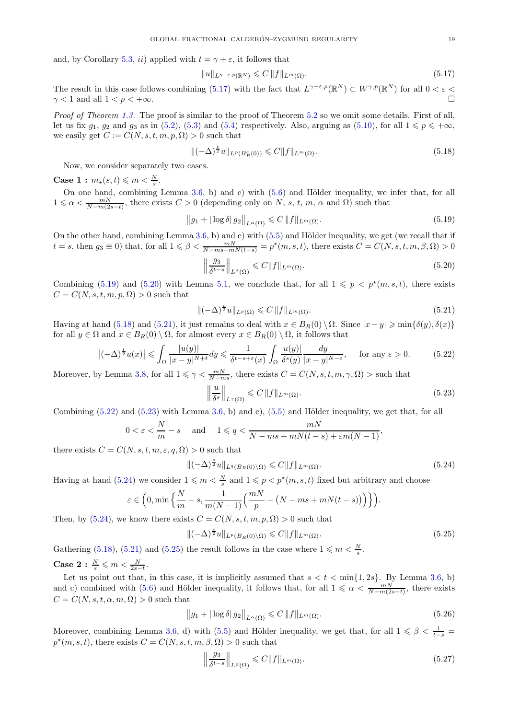and, by Corollary [5.3,](#page-17-4) ii) applied with  $t = \gamma + \varepsilon$ , it follows that

<span id="page-18-0"></span>
$$
||u||_{L^{\gamma+\varepsilon,p}(\mathbb{R}^N)} \leqslant C ||f||_{L^m(\Omega)}.
$$
\n
$$
(5.17)
$$

The result in this case follows combining [\(5.17\)](#page-18-0) with the fact that  $L^{\gamma+\varepsilon,p}(\mathbb{R}^N) \subset W^{\gamma,p}(\mathbb{R}^N)$  for all  $0 < \varepsilon$  $\gamma$  < 1 and all  $1 < p < +\infty$ .

*Proof of Theorem [1.3.](#page-1-1)* The proof is similar to the proof of Theorem [5.2](#page-16-0) so we omit some details. First of all, let us fix  $g_1, g_2$  and  $g_3$  as in [\(5.2\)](#page-15-4), [\(5.3\)](#page-15-2) and [\(5.4\)](#page-15-3) respectively. Also, arguing as [\(5.10\)](#page-16-4), for all  $1 \leq p \leq +\infty$ , we easily get  $C := C(N, s, t, m, p, \Omega) > 0$  such that

<span id="page-18-3"></span>
$$
\|(-\Delta)^{\frac{t}{2}}u\|_{L^{p}(B_{R}^{c}(0))} \leqslant C\|f\|_{L^{m}(\Omega)}.
$$
\n(5.18)

Now, we consider separately two cases.

Case 1 :  $m_{\star}(s,t) \leq m < \frac{N}{s}$ .

On one hand, combining Lemma  $3.6$ , b) and c) with  $(5.6)$  and Hölder inequality, we infer that, for all  $1 \leq \alpha < \frac{mN}{N-m(2s-t)}$ , there exists  $C > 0$  (depending only on N, s, t, m,  $\alpha$  and  $\Omega$ ) such that

<span id="page-18-1"></span>
$$
||g_1 + |\log \delta| \, g_2||_{L^{\alpha}(\Omega)} \leqslant C \, ||f||_{L^m(\Omega)}.\tag{5.19}
$$

On the other hand, combining Lemma [3.6,](#page-10-6) b) and c) with  $(5.5)$  and Hölder inequality, we get (we recall that if  $t = s$ , then  $g_3 \equiv 0$ ) that, for all  $1 \leq \beta < \frac{mN}{N - ms + mN(t-s)} = p^*(m, s, t)$ , there exists  $C = C(N, s, t, m, \beta, \Omega) > 0$ 

<span id="page-18-2"></span>
$$
\left\| \frac{g_3}{\delta^{t-s}} \right\|_{L^{\beta}(\Omega)} \leqslant C \| f \|_{L^m(\Omega)}.
$$
\n(5.20)

Combining [\(5.19\)](#page-18-1) and [\(5.20\)](#page-18-2) with Lemma [5.1,](#page-15-0) we conclude that, for all  $1 \leqslant p \leqslant p^*(m, s, t)$ , there exists  $C = C(N, s, t, m, p, \Omega) > 0$  such that

<span id="page-18-4"></span>
$$
\|(-\Delta)^{\frac{t}{2}}u\|_{L^{p}(\Omega)} \leqslant C\,\|f\|_{L^{m}(\Omega)}.\tag{5.21}
$$

Having at hand [\(5.18\)](#page-18-3) and [\(5.21\)](#page-18-4), it just remains to deal with  $x \in B_R(0) \setminus \Omega$ . Since  $|x-y| \geqslant \min\{\delta(y), \delta(x)\}\$ for all  $y \in \Omega$  and  $x \in B_R(0) \setminus \Omega$ , for almost every  $x \in B_R(0) \setminus \Omega$ , it follows that

<span id="page-18-5"></span>
$$
\left|(-\Delta)^{\frac{t}{2}}u(x)\right| \leqslant \int_{\Omega} \frac{|u(y)|}{|x-y|^{N+t}} dy \leqslant \frac{1}{\delta^{t-s+\varepsilon}(x)} \int_{\Omega} \frac{|u(y)|}{\delta^s(y)} \frac{dy}{|x-y|^{N-\varepsilon}}, \quad \text{for any } \varepsilon > 0. \tag{5.22}
$$

Moreover, by Lemma [3.8,](#page-10-8) for all  $1 \leq \gamma < \frac{mN}{N-ms}$ , there exists  $C = C(N, s, t, m, \gamma, \Omega) >$  such that

<span id="page-18-6"></span>
$$
\left\| \frac{u}{\delta^s} \right\|_{L^\gamma(\Omega)} \leqslant C \|f\|_{L^m(\Omega)}.
$$
\n(5.23)

Combining  $(5.22)$  and  $(5.23)$  with Lemma [3.6,](#page-10-6) b) and c),  $(5.5)$  and Hölder inequality, we get that, for all

$$
0 < \varepsilon < \frac{N}{m} - s \quad \text{and} \quad 1 \leqslant q < \frac{mN}{N - ms + mN(t - s) + \varepsilon m(N - 1)},
$$

there exists  $C = C(N, s, t, m, \varepsilon, q, \Omega) > 0$  such that

<span id="page-18-7"></span>
$$
\|(-\Delta)^{\frac{s}{2}}u\|_{L^{q}(B_{R}(0)\setminus\Omega)} \leqslant C\|f\|_{L^{m}(\Omega)}.
$$
\n(5.24)

Having at hand [\(5.24\)](#page-18-7) we consider  $1 \leqslant m < \frac{N}{s}$  and  $1 \leqslant p < p^*(m, s, t)$  fixed but arbitrary and choose

$$
\varepsilon \in \left(0, \min\left\{\frac{N}{m}-s, \frac{1}{m(N-1)}\left(\frac{mN}{p}-(N-ms+mN(t-s))\right)\right\}\right).
$$

Then, by [\(5.24\)](#page-18-7), we know there exists  $C = C(N, s, t, m, p, \Omega) > 0$  such that

<span id="page-18-8"></span>
$$
\|(-\Delta)^{\frac{s}{2}}u\|_{L^p(B_R(0)\setminus\Omega)} \leqslant C\|f\|_{L^m(\Omega)}.
$$
\n(5.25)

Gathering [\(5.18\)](#page-18-3), [\(5.21\)](#page-18-4) and [\(5.25\)](#page-18-8) the result follows in the case where  $1 \leq m < \frac{N}{s}$ .

Case 2 :  $\frac{N}{s} \leqslant m < \frac{N}{2s-t}$ .

Let us point out that, in this case, it is implicitly assumed that  $s < t < \min\{1, 2s\}$ . By Lemma [3.6,](#page-10-6) b) and c) combined with [\(5.6\)](#page-16-3) and Hölder inequality, it follows that, for all  $1 \leq \alpha < \frac{mN}{N-m(2s-t)}$ , there exists  $C = C(N, s, t, \alpha, m, \Omega) > 0$  such that

<span id="page-18-9"></span>
$$
\|g_1 + |\log \delta| \, g_2\|_{L^{\alpha}(\Omega)} \leqslant C \, \|f\|_{L^m(\Omega)}.
$$
\n
$$
(5.26)
$$

Moreover, combining Lemma [3.6,](#page-10-6) d) with [\(5.5\)](#page-16-6) and Hölder inequality, we get that, for all  $1 \leq \beta < \frac{1}{t-s}$  $p^*(m, s, t)$ , there exists  $C = C(N, s, t, m, \beta, \Omega) > 0$  such that

<span id="page-18-10"></span>
$$
\left\| \frac{g_3}{\delta^{t-s}} \right\|_{L^{\beta}(\Omega)} \leqslant C \| f \|_{L^m(\Omega)}.
$$
\n(5.27)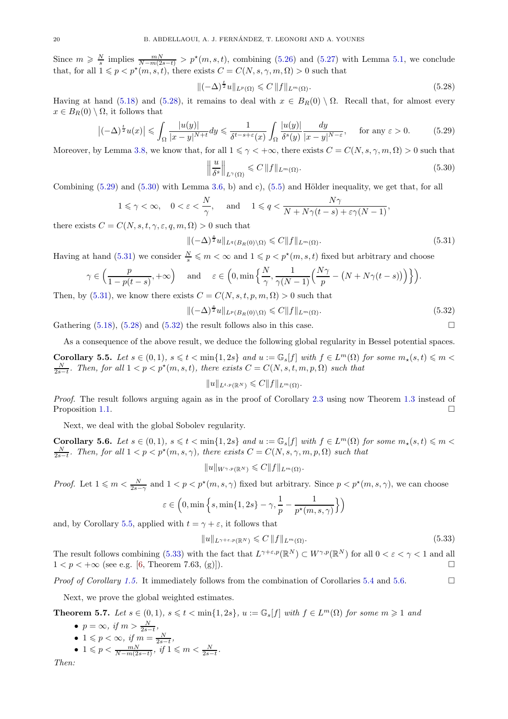Since  $m \geq \frac{N}{s}$  implies  $\frac{mN}{N-m(2s-t)} > p^*(m, s, t)$ , combining [\(5.26\)](#page-18-9) and [\(5.27\)](#page-18-10) with Lemma [5.1,](#page-15-0) we conclude that, for all  $1 \leq p < p^*(m, s, t)$ , there exists  $C = C(N, s, \gamma, m, \Omega) > 0$  such that

<span id="page-19-2"></span>
$$
\|(-\Delta)^{\frac{t}{2}}u\|_{L^{p}(\Omega)} \leqslant C\,\|f\|_{L^{m}(\Omega)}.\tag{5.28}
$$

Having at hand [\(5.18\)](#page-18-3) and [\(5.28\)](#page-19-2), it remains to deal with  $x \in B_R(0) \setminus \Omega$ . Recall that, for almost every  $x \in B_R(0) \setminus \Omega$ , it follows that

<span id="page-19-3"></span>
$$
\left|(-\Delta)^{\frac{t}{2}}u(x)\right| \leq \int_{\Omega} \frac{|u(y)|}{|x-y|^{N+t}} dy \leq \frac{1}{\delta^{t-s+\varepsilon}(x)} \int_{\Omega} \frac{|u(y)|}{\delta^s(y)} \frac{dy}{|x-y|^{N-\varepsilon}}, \quad \text{for any } \varepsilon > 0. \tag{5.29}
$$

Moreover, by Lemma [3.8,](#page-10-8) we know that, for all  $1 \leq \gamma < +\infty$ , there exists  $C = C(N, s, \gamma, m, \Omega) > 0$  such that

<span id="page-19-4"></span>
$$
\left\| \frac{u}{\delta^s} \right\|_{L^\gamma(\Omega)} \leqslant C \|f\|_{L^m(\Omega)}.
$$
\n(5.30)

Combining  $(5.29)$  and  $(5.30)$  with Lemma [3.6,](#page-10-6) b) and c),  $(5.5)$  and Hölder inequality, we get that, for all

$$
1 \leq \gamma < \infty, \quad 0 < \varepsilon < \frac{N}{\gamma}, \quad \text{ and } \quad 1 \leqslant q < \frac{N\gamma}{N + N\gamma(t - s) + \varepsilon\gamma(N - 1)},
$$

there exists  $C = C(N, s, t, \gamma, \varepsilon, q, m, \Omega) > 0$  such that

<span id="page-19-5"></span>
$$
\|(-\Delta)^{\frac{s}{2}}u\|_{L^q(B_R(0)\setminus\Omega)} \leqslant C\|f\|_{L^m(\Omega)}.
$$
\n(5.31)

Having at hand [\(5.31\)](#page-19-5) we consider  $\frac{N}{s} \leqslant m < \infty$  and  $1 \leqslant p < p^*(m, s, t)$  fixed but arbitrary and choose

$$
\gamma \in \left(\frac{p}{1-p(t-s)}, +\infty\right) \quad \text{and} \quad \varepsilon \in \left(0, \min\left\{\frac{N}{\gamma}, \frac{1}{\gamma(N-1)}\left(\frac{N\gamma}{p} - \left(N + N\gamma(t-s)\right)\right)\right\}\right).
$$

Then, by [\(5.31\)](#page-19-5), we know there exists  $C = C(N, s, t, p, m, \Omega) > 0$  such that

<span id="page-19-6"></span>
$$
\|(-\Delta)^{\frac{s}{2}}u\|_{L^p(B_R(0)\setminus\Omega)} \leqslant C\|f\|_{L^m(\Omega)}.
$$
\n(5.32)

Gathering  $(5.18)$ ,  $(5.28)$  and  $(5.32)$  the result follows also in this case.

<span id="page-19-7"></span>As a consequence of the above result, we deduce the following global regularity in Bessel potential spaces. **Corollary 5.5.** Let  $s \in (0,1)$ ,  $s \leq t < \min\{1,2s\}$  and  $u := \mathbb{G}_s[f]$  with  $f \in L^m(\Omega)$  for some  $m_\star(s,t) \leq m <$  $\frac{N}{2s-t}$ *.* Then, for all 1 < p < p<sup>★</sup>(m, s, t), there exists  $C = C(N, s, t, m, p, \Omega)$  such that

$$
||u||_{L^{t,p}(\mathbb{R}^N)} \leqslant C||f||_{L^m(\Omega)}.
$$

*Proof.* The result follows arguing again as in the proof of Corollary [2.3](#page-7-1) using now Theorem [1.3](#page-1-1) instead of Proposition [1.1.](#page-0-3)

Next, we deal with the global Sobolev regularity.

<span id="page-19-1"></span>**Corollary 5.6.** Let  $s \in (0,1)$ ,  $s \leq t < \min\{1,2s\}$  and  $u := \mathbb{G}_s[f]$  with  $f \in L^m(\Omega)$  for some  $m_\star(s,t) \leq m <$  $\frac{N}{2s-t}$ *.* Then, for all  $1 < p < p^*(m, s, \gamma)$ , there exists  $C = C(N, s, \gamma, m, p, \Omega)$  such that

$$
||u||_{W^{\gamma,p}(\mathbb{R}^N)} \leqslant C||f||_{L^m(\Omega)}.
$$

*Proof.* Let  $1 \leq m < \frac{N}{2s-\gamma}$  and  $1 < p < p^*(m, s, \gamma)$  fixed but arbitrary. Since  $p < p^*(m, s, \gamma)$ , we can choose

$$
\varepsilon \in \left(0, \min\left\{s, \min\{1, 2s\} - \gamma, \frac{1}{p} - \frac{1}{p^\star(m, s, \gamma)}\right\}\right)
$$

and, by Corollary [5.5,](#page-19-7) applied with  $t = \gamma + \varepsilon$ , it follows that

<span id="page-19-8"></span>
$$
||u||_{L^{\gamma+\varepsilon,p}(\mathbb{R}^N)} \leqslant C ||f||_{L^m(\Omega)}.
$$
\n
$$
(5.33)
$$

The result follows combining [\(5.33\)](#page-19-8) with the fact that  $L^{\gamma+\varepsilon,p}(\mathbb{R}^N) \subset W^{\gamma,p}(\mathbb{R}^N)$  for all  $0 < \varepsilon < \gamma < 1$  and all  $1 < p < +\infty$  (see e.g. [\[6,](#page-20-8) Theorem 7.63, (g)]).

*Proof of Corollary [1.5.](#page-2-1)* It immediately follows from the combination of Corollaries [5.4](#page-17-0) and [5.6.](#page-19-1) □

Next, we prove the global weighted estimates.

<span id="page-19-0"></span>**Theorem 5.7.** Let 
$$
s \in (0,1)
$$
,  $s \leq t < \min\{1, 2s\}$ ,  $u := \mathbb{G}_s[f]$  with  $f \in L^m(\Omega)$  for some  $m \geq 1$  and

*.*

\n- $$
p = \infty
$$
, if  $m > \frac{N}{2s-t}$ ,
\n- $1 \leq p < \infty$ , if  $m = \frac{N}{2s-t}$ ,
\n- $1 \leq p < \frac{m}{N-m(2s-t)}$ , if  $1 \leq m < \frac{N}{2s-t}$ .
\n

*Then:*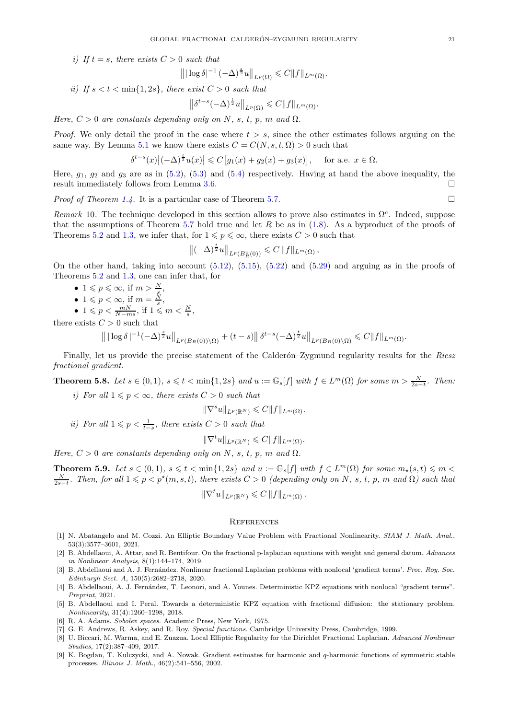*i*) If  $t = s$ *, there exists*  $C > 0$  *such that* 

$$
\left\| |\log \delta|^{-1} \left(-\Delta\right)^{\frac{s}{2}} u \right\|_{L^p(\Omega)} \leqslant C \|f\|_{L^m(\Omega)}.
$$

*ii)* If  $s < t < \min\{1, 2s\}$ , there exist  $C > 0$  such that

$$
\left\|\delta^{t-s}(-\Delta)^{\frac{t}{2}}u\right\|_{L^p(\Omega)} \leqslant C\|f\|_{L^m(\Omega)}.
$$

*Here,*  $C > 0$  *are constants depending only on* N, s, t, p, m and  $\Omega$ .

*Proof.* We only detail the proof in the case where  $t > s$ , since the other estimates follows arguing on the same way. By Lemma [5.1](#page-15-0) we know there exists  $C = C(N, s, t, \Omega) > 0$  such that

$$
\delta^{t-s}(x)\big|(-\Delta)^{\frac{t}{2}}u(x)\big| \leqslant C\big[g_1(x)+g_2(x)+g_3(x)\big], \quad \text{ for a.e. } x \in \Omega.
$$

Here,  $g_1$ ,  $g_2$  and  $g_3$  are as in [\(5.2\)](#page-15-4), [\(5.3\)](#page-15-2) and [\(5.4\)](#page-15-3) respectively. Having at hand the above inequality, the result immediately follows from Lemma [3.6.](#page-10-6)

*Proof of Theorem [1.4.](#page-1-2)* It is a particular case of Theorem [5.7.](#page-19-0) □

*Remark* 10. The technique developed in this section allows to prove also estimates in  $\Omega^c$ . Indeed, suppose that the assumptions of Theorem [5.7](#page-19-0) hold true and let R be as in  $(1.8)$ . As a byproduct of the proofs of Theorems [5.2](#page-16-0) and [1.3,](#page-1-1) we infer that, for  $1 \leq p \leq \infty$ , there exists  $C > 0$  such that

$$
\left\| (-\Delta)^{\frac{t}{2}} u \right\|_{L^p(B_R^c(0))} \leqslant C \|f\|_{L^m(\Omega)},
$$

On the other hand, taking into account  $(5.12)$ ,  $(5.15)$ ,  $(5.22)$  and  $(5.29)$  and arguing as in the proofs of Theorems [5.2](#page-16-0) and [1.3,](#page-1-1) one can infer that, for

- $1 \leqslant p \leqslant \infty$ , if  $m > \frac{N}{s}$ ,
- $1 \leqslant p \leqslant \infty$ , if  $m \leqslant \frac{s}{s}$ ,<br>•  $1 \leqslant p < \infty$ , if  $m = \frac{N}{s}$ ,
- $1 \leqslant p < \frac{mN}{N-ms}$ , if  $1 \leqslant m < \frac{N}{s}$ ,

there exists  $C > 0$  such that

$$
\| |\log \delta|^{-1} (-\Delta)^{\frac{s}{2}} u \|_{L^p(B_R(0)) \setminus \Omega)} + (t-s) \| \delta^{t-s} (-\Delta)^{\frac{t}{2}} u \|_{L^p(B_R(0) \setminus \Omega)} \leq C \| f \|_{L^m(\Omega)}.
$$

Finally, let us provide the precise statement of the Calderon–Zygmund regularity results for the *Riesz fractional gradient*.

<span id="page-20-3"></span>**Theorem 5.8.** Let  $s \in (0,1)$ ,  $s \leq t < \min\{1,2s\}$  and  $u := \mathbb{G}_s[f]$  with  $f \in L^m(\Omega)$  for some  $m > \frac{N}{2s-t}$ . Then:

*i)* For all  $1 \leqslant p < \infty$ , there exists  $C > 0$  such that

$$
\|\nabla^s u\|_{L^p(\mathbb{R}^N)} \leqslant C \|f\|_{L^m(\Omega)}.
$$

*ii)* For all  $1 \leq p < \frac{1}{t-s}$ , there exists  $C > 0$  such that

$$
\|\nabla^t u\|_{L^p(\mathbb{R}^N)} \leqslant C \|f\|_{L^m(\Omega)}.
$$

*Here,*  $C > 0$  *are constants depending only on* N, s, t, p, m and  $\Omega$ .

<span id="page-20-4"></span>**Theorem 5.9.** Let  $s \in (0,1)$ ,  $s \leq t < \min\{1,2s\}$  and  $u := \mathbb{G}_s[f]$  with  $f \in L^m(\Omega)$  for some  $m_\star(s,t) \leq m <$  $\frac{N}{2s-t}$ . Then, for all  $1 \leq p < p^*(m, s, t)$ , there exists  $C > 0$  (depending only on N, s, t, p, m and  $\Omega$ ) such that  $\|\nabla^t u\|_{L^p(\mathbb{R}^N)} \leqslant C \|f\|_{L^m(\Omega)}.$ 

### **REFERENCES**

- <span id="page-20-7"></span>[1] N. Abatangelo and M. Cozzi. An Elliptic Boundary Value Problem with Fractional Nonlinearity. SIAM J. Math. Anal., 53(3):3577–3601, 2021.
- <span id="page-20-1"></span>[2] B. Abdellaoui, A. Attar, and R. Bentifour. On the fractional p-laplacian equations with weight and general datum. Advances in Nonlinear Analysis, 8(1):144–174, 2019.
- <span id="page-20-6"></span>[3] B. Abdellaoui and A. J. Fernández. Nonlinear fractional Laplacian problems with nonlocal 'gradient terms'. Proc. Roy. Soc. Edinburgh Sect. A, 150(5):2682–2718, 2020.
- <span id="page-20-5"></span>[4] B. Abdellaoui, A. J. Fernández, T. Leonori, and A. Younes. Deterministic KPZ equations with nonlocal "gradient terms". Preprint, 2021.
- <span id="page-20-2"></span>[5] B. Abdellaoui and I. Peral. Towards a deterministic KPZ equation with fractional diffusion: the stationary problem. Nonlinearity, 31(4):1260–1298, 2018.
- <span id="page-20-9"></span><span id="page-20-8"></span>[6] R. A. Adams. Sobolev spaces. Academic Press, New York, 1975.
- <span id="page-20-0"></span>[7] G. E. Andrews, R. Askey, and R. Roy. Special functions. Cambridge University Press, Cambridge, 1999.
- [8] U. Biccari, M. Warma, and E. Zuazua. Local Elliptic Regularity for the Dirichlet Fractional Laplacian. Advanced Nonlinear Studies, 17(2):387–409, 2017.
- <span id="page-20-10"></span>[9] K. Bogdan, T. Kulczycki, and A. Nowak. Gradient estimates for harmonic and q-harmonic functions of symmetric stable processes. Illinois J. Math., 46(2):541–556, 2002.